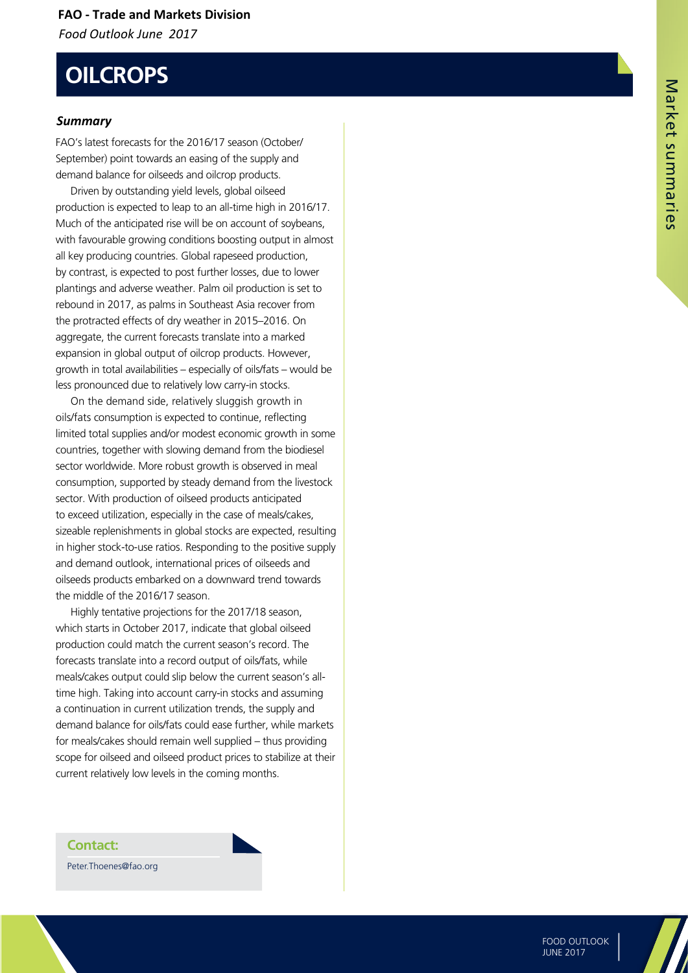#### **FAO - Trade and Markets Division** *Food Outlook June 2017*

# **OILCROPS**

#### *Summary*

FAO's latest forecasts for the 2016/17 season (October/ September) point towards an easing of the supply and demand balance for oilseeds and oilcrop products.

Driven by outstanding yield levels, global oilseed production is expected to leap to an all-time high in 2016/17. Much of the anticipated rise will be on account of soybeans, with favourable growing conditions boosting output in almost all key producing countries. Global rapeseed production, by contrast, is expected to post further losses, due to lower plantings and adverse weather. Palm oil production is set to rebound in 2017, as palms in Southeast Asia recover from the protracted effects of dry weather in 2015–2016. On aggregate, the current forecasts translate into a marked expansion in global output of oilcrop products. However, growth in total availabilities – especially of oils/fats – would be less pronounced due to relatively low carry-in stocks.

On the demand side, relatively sluggish growth in oils/fats consumption is expected to continue, reflecting limited total supplies and/or modest economic growth in some countries, together with slowing demand from the biodiesel sector worldwide. More robust growth is observed in meal consumption, supported by steady demand from the livestock sector. With production of oilseed products anticipated to exceed utilization, especially in the case of meals/cakes, sizeable replenishments in global stocks are expected, resulting in higher stock-to-use ratios. Responding to the positive supply and demand outlook, international prices of oilseeds and oilseeds products embarked on a downward trend towards the middle of the 2016/17 season.

Highly tentative projections for the 2017/18 season, which starts in October 2017, indicate that global oilseed production could match the current season's record. The forecasts translate into a record output of oils/fats, while meals/cakes output could slip below the current season's alltime high. Taking into account carry-in stocks and assuming a continuation in current utilization trends, the supply and demand balance for oils/fats could ease further, while markets for meals/cakes should remain well supplied – thus providing scope for oilseed and oilseed product prices to stabilize at their current relatively low levels in the coming months.

**Contact:** Peter.Thoenes@fao.org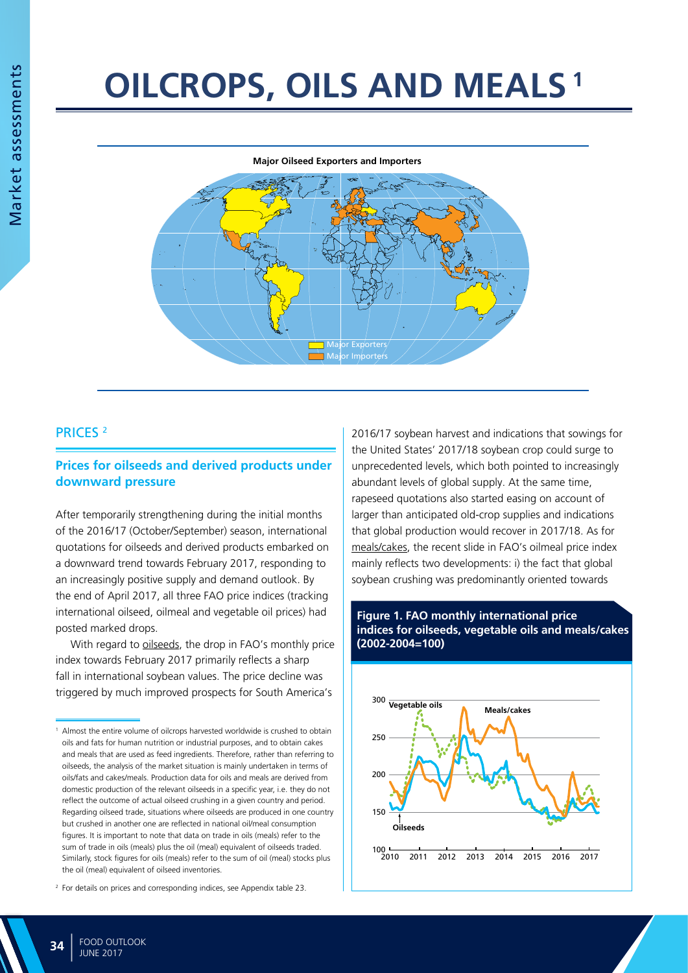# **OILCROPS, OILS AND MEALS 1**



#### PRICES 2

#### **Prices for oilseeds and derived products under downward pressure**

After temporarily strengthening during the initial months of the 2016/17 (October/September) season, international quotations for oilseeds and derived products embarked on a downward trend towards February 2017, responding to an increasingly positive supply and demand outlook. By the end of April 2017, all three FAO price indices (tracking international oilseed, oilmeal and vegetable oil prices) had posted marked drops.

With regard to oilseeds, the drop in FAO's monthly price index towards February 2017 primarily reflects a sharp fall in international soybean values. The price decline was triggered by much improved prospects for South America's

2016/17 soybean harvest and indications that sowings for the United States' 2017/18 soybean crop could surge to unprecedented levels, which both pointed to increasingly abundant levels of global supply. At the same time, rapeseed quotations also started easing on account of larger than anticipated old-crop supplies and indications that global production would recover in 2017/18. As for meals/cakes, the recent slide in FAO's oilmeal price index mainly reflects two developments: i) the fact that global soybean crushing was predominantly oriented towards





<sup>&</sup>lt;sup>1</sup> Almost the entire volume of oilcrops harvested worldwide is crushed to obtain oils and fats for human nutrition or industrial purposes, and to obtain cakes and meals that are used as feed ingredients. Therefore, rather than referring to oilseeds, the analysis of the market situation is mainly undertaken in terms of oils/fats and cakes/meals. Production data for oils and meals are derived from domestic production of the relevant oilseeds in a specific year, i.e. they do not reflect the outcome of actual oilseed crushing in a given country and period. Regarding oilseed trade, situations where oilseeds are produced in one country but crushed in another one are reflected in national oil/meal consumption figures. It is important to note that data on trade in oils (meals) refer to the sum of trade in oils (meals) plus the oil (meal) equivalent of oilseeds traded. Similarly, stock figures for oils (meals) refer to the sum of oil (meal) stocks plus the oil (meal) equivalent of oilseed inventories.

<sup>&</sup>lt;sup>2</sup> For details on prices and corresponding indices, see Appendix table 23.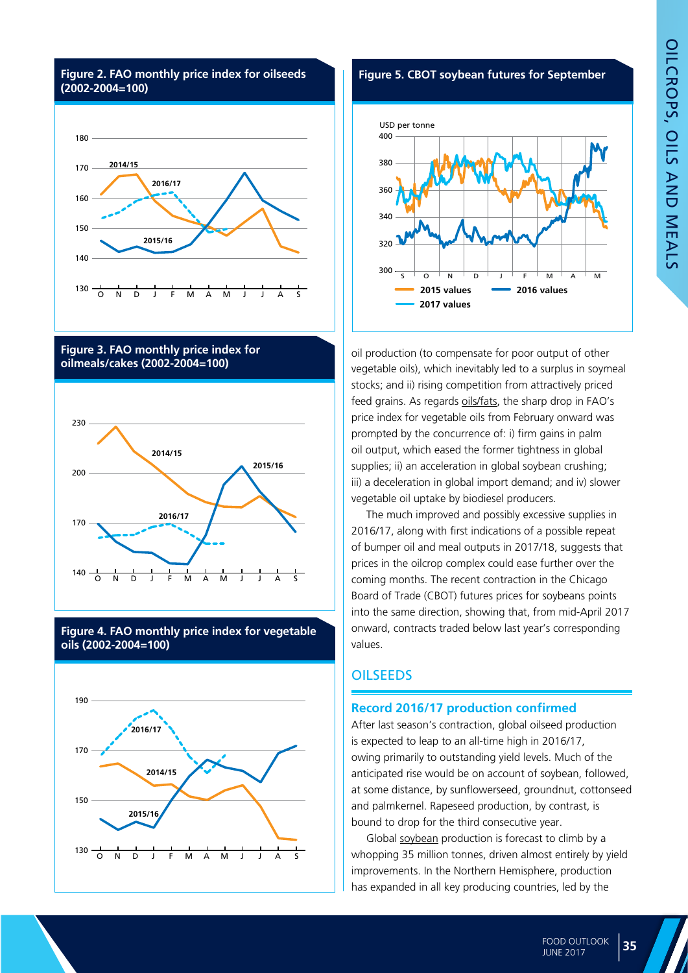







**Figure 4. FAO monthly price index for vegetable oils (2002-2004=100)**





oil production (to compensate for poor output of other vegetable oils), which inevitably led to a surplus in soymeal stocks; and ii) rising competition from attractively priced feed grains. As regards oils/fats, the sharp drop in FAO's price index for vegetable oils from February onward was prompted by the concurrence of: i) firm gains in palm oil output, which eased the former tightness in global supplies; ii) an acceleration in global soybean crushing; iii) a deceleration in global import demand; and iv) slower vegetable oil uptake by biodiesel producers.

The much improved and possibly excessive supplies in 2016/17, along with first indications of a possible repeat of bumper oil and meal outputs in 2017/18, suggests that prices in the oilcrop complex could ease further over the coming months. The recent contraction in the Chicago Board of Trade (CBOT) futures prices for soybeans points into the same direction, showing that, from mid-April 2017 onward, contracts traded below last year's corresponding values.

#### **OILSEEDS**

#### **Record 2016/17 production confirmed**

After last season's contraction, global oilseed production is expected to leap to an all-time high in 2016/17, owing primarily to outstanding yield levels. Much of the anticipated rise would be on account of soybean, followed, at some distance, by sunflowerseed, groundnut, cottonseed and palmkernel. Rapeseed production, by contrast, is bound to drop for the third consecutive year.

Global soybean production is forecast to climb by a whopping 35 million tonnes, driven almost entirely by yield improvements. In the Northern Hemisphere, production has expanded in all key producing countries, led by the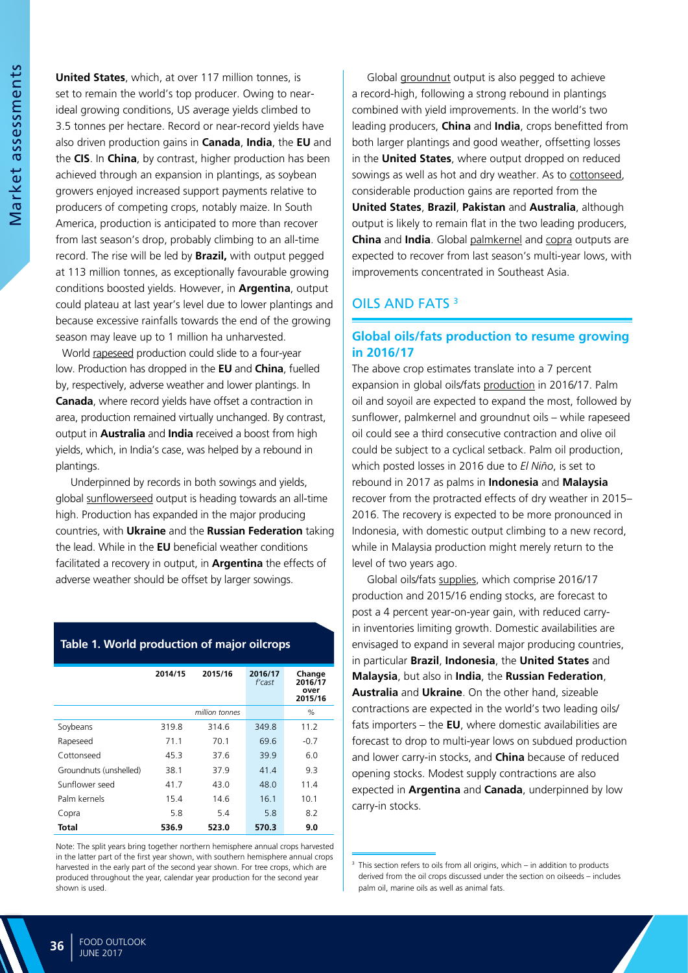**United States**, which, at over 117 million tonnes, is set to remain the world's top producer. Owing to nearideal growing conditions, US average yields climbed to 3.5 tonnes per hectare. Record or near-record yields have also driven production gains in **Canada**, **India**, the **EU** and the **CIS**. In **China**, by contrast, higher production has been achieved through an expansion in plantings, as soybean growers enjoyed increased support payments relative to producers of competing crops, notably maize. In South America, production is anticipated to more than recover from last season's drop, probably climbing to an all-time record. The rise will be led by **Brazil,** with output pegged at 113 million tonnes, as exceptionally favourable growing conditions boosted yields. However, in **Argentina**, output could plateau at last year's level due to lower plantings and because excessive rainfalls towards the end of the growing season may leave up to 1 million ha unharvested.

 World rapeseed production could slide to a four-year low. Production has dropped in the **EU** and **China**, fuelled by, respectively, adverse weather and lower plantings. In **Canada**, where record yields have offset a contraction in area, production remained virtually unchanged. By contrast, output in **Australia** and **India** received a boost from high yields, which, in India's case, was helped by a rebound in plantings.

Underpinned by records in both sowings and yields, global sunflowerseed output is heading towards an all-time high. Production has expanded in the major producing countries, with **Ukraine** and the **Russian Federation** taking the lead. While in the **EU** beneficial weather conditions facilitated a recovery in output, in **Argentina** the effects of adverse weather should be offset by larger sowings.

#### **Table 1. World production of major oilcrops**

|                        | 2014/15 | 2015/16        | 2016/17<br>$f'$ cast | Change<br>2016/17<br>over<br>2015/16 |
|------------------------|---------|----------------|----------------------|--------------------------------------|
|                        |         | million tonnes |                      | $\%$                                 |
| Soybeans               | 319.8   | 314.6          | 349.8                | 11.2                                 |
| Rapeseed               | 71.1    | 70.1           | 69.6                 | $-0.7$                               |
| Cottonseed             | 45.3    | 37.6           | 39.9                 | 6.0                                  |
| Groundnuts (unshelled) | 38.1    | 37.9           | 41.4                 | 9.3                                  |
| Sunflower seed         | 41.7    | 43.0           | 48.0                 | 11.4                                 |
| Palm kernels           | 15.4    | 14.6           | 16.1                 | 10.1                                 |
| Copra                  | 5.8     | 5.4            | 5.8                  | 8.2                                  |
| Total                  | 536.9   | 523.0          | 570.3                | 9.0                                  |

Note: The split years bring together northern hemisphere annual crops harvested in the latter part of the first year shown, with southern hemisphere annual crops harvested in the early part of the second year shown. For tree crops, which are produced throughout the year, calendar year production for the second year shown is used.

Global groundnut output is also pegged to achieve a record-high, following a strong rebound in plantings combined with yield improvements. In the world's two leading producers, **China** and **India**, crops benefitted from both larger plantings and good weather, offsetting losses in the **United States**, where output dropped on reduced sowings as well as hot and dry weather. As to cottonseed, considerable production gains are reported from the **United States**, **Brazil**, **Pakistan** and **Australia**, although output is likely to remain flat in the two leading producers, **China** and **India**. Global palmkernel and copra outputs are expected to recover from last season's multi-year lows, with improvements concentrated in Southeast Asia.

#### OILS AND FATS 3

#### **Global oils/fats production to resume growing in 2016/17**

The above crop estimates translate into a 7 percent expansion in global oils/fats production in 2016/17. Palm oil and soyoil are expected to expand the most, followed by sunflower, palmkernel and groundnut oils – while rapeseed oil could see a third consecutive contraction and olive oil could be subject to a cyclical setback. Palm oil production, which posted losses in 2016 due to *El Niño*, is set to rebound in 2017 as palms in **Indonesia** and **Malaysia** recover from the protracted effects of dry weather in 2015– 2016. The recovery is expected to be more pronounced in Indonesia, with domestic output climbing to a new record, while in Malaysia production might merely return to the level of two years ago.

Global oils/fats supplies, which comprise 2016/17 production and 2015/16 ending stocks, are forecast to post a 4 percent year-on-year gain, with reduced carryin inventories limiting growth. Domestic availabilities are envisaged to expand in several major producing countries, in particular **Brazil**, **Indonesia**, the **United States** and **Malaysia**, but also in **India**, the **Russian Federation**, **Australia** and **Ukraine**. On the other hand, sizeable contractions are expected in the world's two leading oils/ fats importers – the **EU**, where domestic availabilities are forecast to drop to multi-year lows on subdued production and lower carry-in stocks, and **China** because of reduced opening stocks. Modest supply contractions are also expected in **Argentina** and **Canada**, underpinned by low carry-in stocks.

 $3$  This section refers to oils from all origins, which – in addition to products derived from the oil crops discussed under the section on oilseeds – includes palm oil, marine oils as well as animal fats.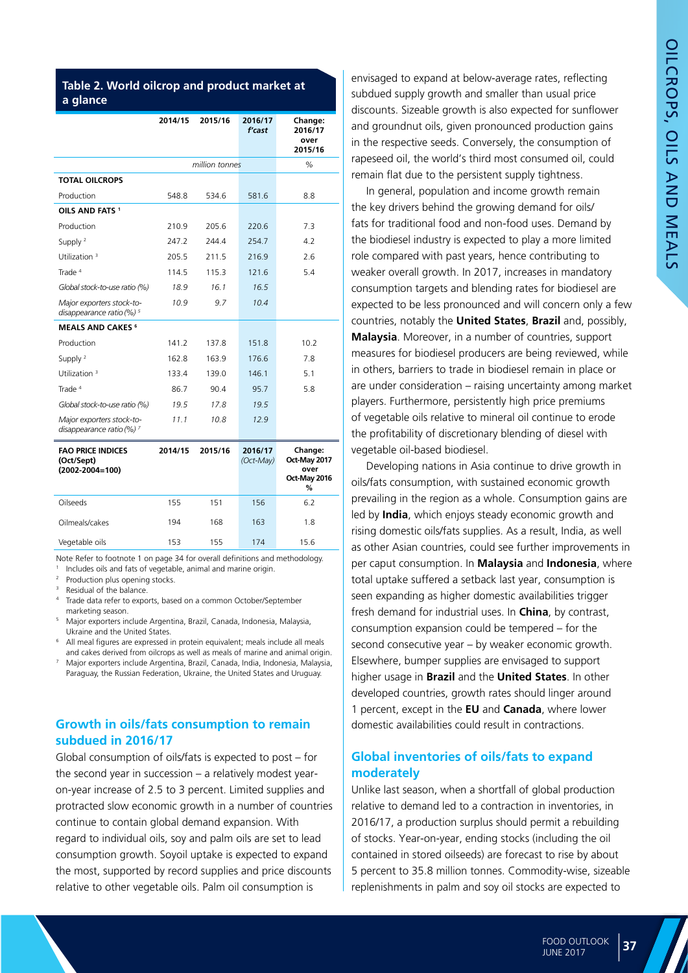#### **Table 2. World oilcrop and product market at a glance**

|                                                                     | 2014/15 | 2015/16        | 2016/17<br>f'cast | Change:<br>2016/17<br>over |
|---------------------------------------------------------------------|---------|----------------|-------------------|----------------------------|
|                                                                     |         |                |                   | 2015/16                    |
|                                                                     |         | million tonnes |                   | $\%$                       |
| <b>TOTAL OILCROPS</b>                                               |         |                |                   |                            |
| Production                                                          | 548.8   | 534.6          | 581.6             | 8.8                        |
| OILS AND FATS <sup>1</sup>                                          |         |                |                   |                            |
| Production                                                          | 210.9   | 205.6          | 220.6             | 7.3                        |
| Supply <sup>2</sup>                                                 | 247.2   | 244.4          | 254.7             | 4.2                        |
| Utilization <sup>3</sup>                                            | 205.5   | 211.5          | 216.9             | 2.6                        |
| Trade <sup>4</sup>                                                  | 114.5   | 115.3          | 121.6             | 5.4                        |
| Global stock-to-use ratio (%)                                       | 18.9    | 16.1           | 16.5              |                            |
| Major exporters stock-to-<br>disappearance ratio $(%)$ <sup>5</sup> | 10.9    | 9.7            | 10.4              |                            |
| <b>MEALS AND CAKES<sup>6</sup></b>                                  |         |                |                   |                            |
| Production                                                          | 141.2   | 137.8          | 151.8             | 10.2                       |
| Supply <sup>2</sup>                                                 | 162.8   | 163.9          | 176.6             | 7.8                        |
| Utilization <sup>3</sup>                                            | 133.4   | 139.0          | 146.1             | 5.1                        |
| Trade <sup>4</sup>                                                  | 86.7    | 90.4           | 95.7              | 5.8                        |
| Global stock-to-use ratio (%)                                       | 19.5    | 17.8           | 19.5              |                            |
| Major exporters stock-to-<br>disappearance ratio $(%)$ <sup>7</sup> | 11.1    | 10.8           | 12.9              |                            |

| <b>FAO PRICE INDICES</b><br>(Oct/Sept)<br>$(2002 - 2004 = 100)$ | 2014/15 | 2015/16 | 2016/17<br>(Oct-May) | Change:<br>Oct-May 2017<br>over<br>Oct-May 2016<br>% |
|-----------------------------------------------------------------|---------|---------|----------------------|------------------------------------------------------|
| Oilseeds                                                        | 155     | 151     | 156                  | 6.2                                                  |
| Oilmeals/cakes                                                  | 194     | 168     | 163                  | 1.8                                                  |
| Vegetable oils                                                  | 153     | 155     | 174                  | 15.6                                                 |

Note: Refer to footnote 1 on page 34 for overall definitions and methodology. <sup>1</sup> Includes oils and fats of vegetable, animal and marine origin.

Production plus opening stocks.

Residual of the balance.

<sup>4</sup> Trade data refer to exports, based on a common October/September marketing season.

- <sup>5</sup> Major exporters include Argentina, Brazil, Canada, Indonesia, Malaysia, Ukraine and the United States.
- <sup>6</sup> All meal figures are expressed in protein equivalent; meals include all meals and cakes derived from oilcrops as well as meals of marine and animal origin.
- <sup>7</sup> Major exporters include Argentina, Brazil, Canada, India, Indonesia, Malaysia, Paraguay, the Russian Federation, Ukraine, the United States and Uruguay.

#### **Growth in oils/fats consumption to remain subdued in 2016/17**

Global consumption of oils/fats is expected to post – for the second year in succession – a relatively modest yearon-year increase of 2.5 to 3 percent. Limited supplies and protracted slow economic growth in a number of countries continue to contain global demand expansion. With regard to individual oils, soy and palm oils are set to lead consumption growth. Soyoil uptake is expected to expand the most, supported by record supplies and price discounts relative to other vegetable oils. Palm oil consumption is

envisaged to expand at below-average rates, reflecting subdued supply growth and smaller than usual price discounts. Sizeable growth is also expected for sunflower and groundnut oils, given pronounced production gains in the respective seeds. Conversely, the consumption of rapeseed oil, the world's third most consumed oil, could remain flat due to the persistent supply tightness.

In general, population and income growth remain the key drivers behind the growing demand for oils/ fats for traditional food and non-food uses. Demand by the biodiesel industry is expected to play a more limited role compared with past years, hence contributing to weaker overall growth. In 2017, increases in mandatory consumption targets and blending rates for biodiesel are expected to be less pronounced and will concern only a few countries, notably the **United States**, **Brazil** and, possibly, **Malaysia**. Moreover, in a number of countries, support measures for biodiesel producers are being reviewed, while in others, barriers to trade in biodiesel remain in place or are under consideration – raising uncertainty among market players. Furthermore, persistently high price premiums of vegetable oils relative to mineral oil continue to erode the profitability of discretionary blending of diesel with vegetable oil-based biodiesel.

Developing nations in Asia continue to drive growth in oils/fats consumption, with sustained economic growth prevailing in the region as a whole. Consumption gains are led by **India**, which enjoys steady economic growth and rising domestic oils/fats supplies. As a result, India, as well as other Asian countries, could see further improvements in per caput consumption. In **Malaysia** and **Indonesia**, where total uptake suffered a setback last year, consumption is seen expanding as higher domestic availabilities trigger fresh demand for industrial uses. In **China**, by contrast, consumption expansion could be tempered – for the second consecutive year – by weaker economic growth. Elsewhere, bumper supplies are envisaged to support higher usage in **Brazil** and the **United States**. In other developed countries, growth rates should linger around 1 percent, except in the **EU** and **Canada**, where lower domestic availabilities could result in contractions.

#### **Global inventories of oils/fats to expand moderately**

Unlike last season, when a shortfall of global production relative to demand led to a contraction in inventories, in 2016/17, a production surplus should permit a rebuilding of stocks. Year-on-year, ending stocks (including the oil contained in stored oilseeds) are forecast to rise by about 5 percent to 35.8 million tonnes. Commodity-wise, sizeable replenishments in palm and soy oil stocks are expected to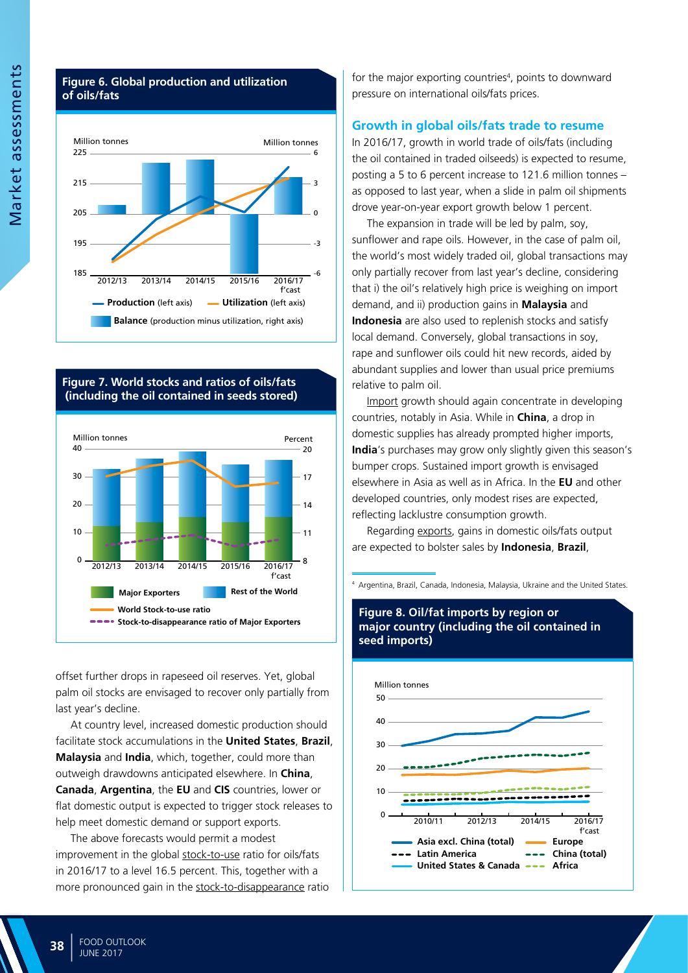#### **Figure 6. Global production and utilization of oils/fats**



**Figure 7. World stocks and ratios of oils/fats (including the oil contained in seeds stored)**



offset further drops in rapeseed oil reserves. Yet, global palm oil stocks are envisaged to recover only partially from last year's decline.

At country level, increased domestic production should facilitate stock accumulations in the **United States**, **Brazil**, **Malaysia** and **India**, which, together, could more than outweigh drawdowns anticipated elsewhere. In **China**, **Canada**, **Argentina**, the **EU** and **CIS** countries, lower or flat domestic output is expected to trigger stock releases to help meet domestic demand or support exports.

The above forecasts would permit a modest improvement in the global stock-to-use ratio for oils/fats in 2016/17 to a level 16.5 percent. This, together with a more pronounced gain in the stock-to-disappearance ratio

for the major exporting countries<sup>4</sup>, points to downward pressure on international oils/fats prices.

#### **Growth in global oils/fats trade to resume**

In 2016/17, growth in world trade of oils/fats (including the oil contained in traded oilseeds) is expected to resume, posting a 5 to 6 percent increase to 121.6 million tonnes – as opposed to last year, when a slide in palm oil shipments drove year-on-year export growth below 1 percent.

The expansion in trade will be led by palm, soy, sunflower and rape oils. However, in the case of palm oil, the world's most widely traded oil, global transactions may only partially recover from last year's decline, considering that i) the oil's relatively high price is weighing on import demand, and ii) production gains in **Malaysia** and **Indonesia** are also used to replenish stocks and satisfy local demand. Conversely, global transactions in soy, rape and sunflower oils could hit new records, aided by abundant supplies and lower than usual price premiums relative to palm oil.

Import growth should again concentrate in developing countries, notably in Asia. While in **China**, a drop in domestic supplies has already prompted higher imports, **India**'s purchases may grow only slightly given this season's bumper crops. Sustained import growth is envisaged elsewhere in Asia as well as in Africa. In the **EU** and other developed countries, only modest rises are expected, reflecting lacklustre consumption growth.

Regarding exports, gains in domestic oils/fats output are expected to bolster sales by **Indonesia**, **Brazil**,

<sup>4</sup> Argentina, Brazil, Canada, Indonesia, Malaysia, Ukraine and the United States.

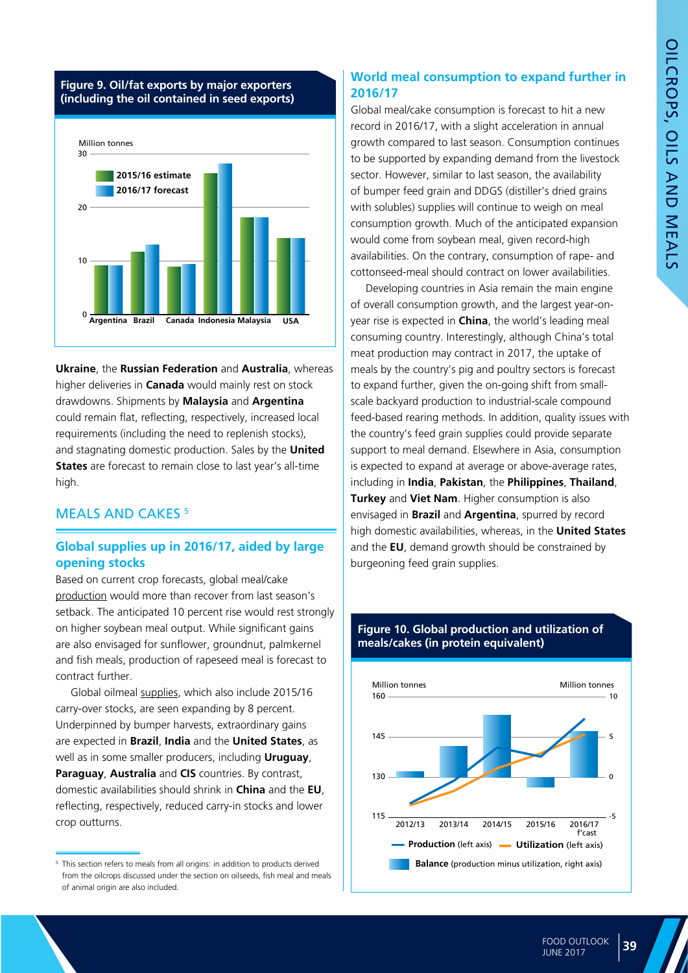#### **Figure 9. Oil/fat exports by major exporters (including the oil contained in seed exports)**



**Ukraine**, the **Russian Federation** and **Australia**, whereas higher deliveries in **Canada** would mainly rest on stock drawdowns. Shipments by **Malaysia** and **Argentina** could remain flat, reflecting, respectively, increased local requirements (including the need to replenish stocks), and stagnating domestic production. Sales by the **United States** are forecast to remain close to last year's all-time high.

#### MEALS AND CAKES<sup>5</sup>

#### **Global supplies up in 2016/17, aided by large opening stocks**

Based on current crop forecasts, global meal/cake production would more than recover from last season's setback. The anticipated 10 percent rise would rest strongly on higher soybean meal output. While significant gains are also envisaged for sunflower, groundnut, palmkernel and fish meals, production of rapeseed meal is forecast to contract further.

Global oilmeal supplies, which also include 2015/16 carry-over stocks, are seen expanding by 8 percent. Underpinned by bumper harvests, extraordinary gains are expected in **Brazil**, **India** and the **United States**, as well as in some smaller producers, including **Uruguay**, **Paraguay**, **Australia** and **CIS** countries. By contrast, domestic availabilities should shrink in **China** and the **EU**, reflecting, respectively, reduced carry-in stocks and lower crop outturns.

#### **World meal consumption to expand further in 2016/17**

Global meal/cake consumption is forecast to hit a new record in 2016/17, with a slight acceleration in annual growth compared to last season. Consumption continues to be supported by expanding demand from the livestock sector. However, similar to last season, the availability of bumper feed grain and DDGS (distiller's dried grains with solubles) supplies will continue to weigh on meal consumption growth. Much of the anticipated expansion would come from soybean meal, given record-high availabilities. On the contrary, consumption of rape- and cottonseed-meal should contract on lower availabilities.

Developing countries in Asia remain the main engine of overall consumption growth, and the largest year-onyear rise is expected in **China**, the world's leading meal consuming country. Interestingly, although China's total meat production may contract in 2017, the uptake of meals by the country's pig and poultry sectors is forecast to expand further, given the on-going shift from smallscale backyard production to industrial-scale compound feed-based rearing methods. In addition, quality issues with the country's feed grain supplies could provide separate support to meal demand. Elsewhere in Asia, consumption is expected to expand at average or above-average rates, including in **India**, **Pakistan**, the **Philippines**, **Thailand**, **Turkey** and **Viet Nam**. Higher consumption is also envisaged in **Brazil** and **Argentina**, spurred by record high domestic availabilities, whereas, in the **United States** and the **EU**, demand growth should be constrained by burgeoning feed grain supplies.



#### **Figure 10. Global production and utilization of meals/cakes (in protein equivalent)**

<sup>&</sup>lt;sup>5</sup> This section refers to meals from all origins: in addition to products derived from the oilcrops discussed under the section on oilseeds, fish meal and meals of animal origin are also included.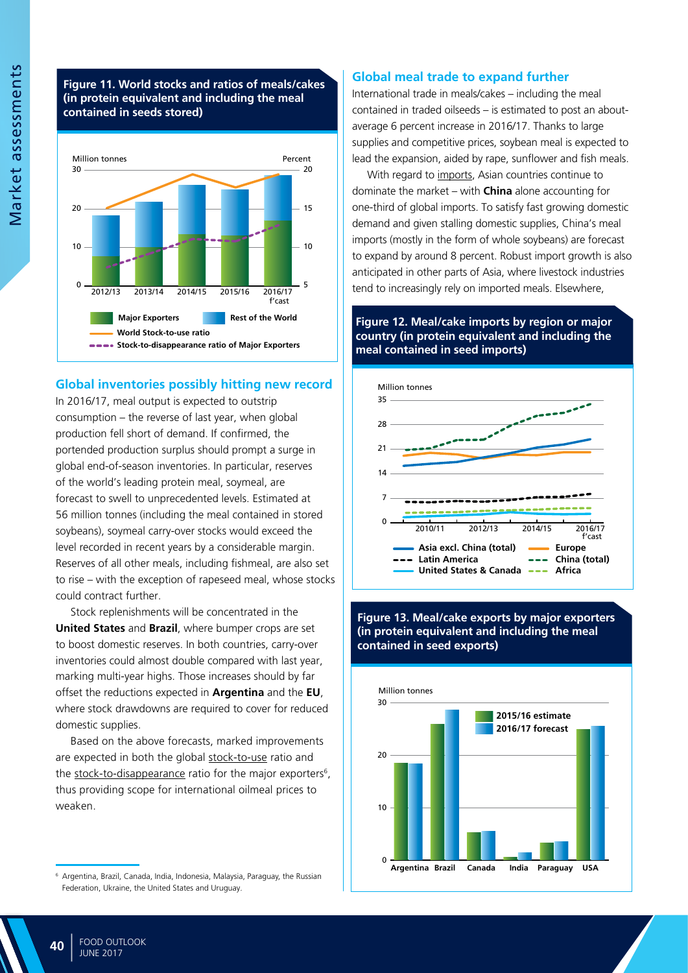#### **Figure 11. World stocks and ratios of meals/cakes (in protein equivalent and including the meal contained in seeds stored)**



#### **Global inventories possibly hitting new record**

In 2016/17, meal output is expected to outstrip consumption – the reverse of last year, when global production fell short of demand. If confirmed, the portended production surplus should prompt a surge in global end-of-season inventories. In particular, reserves of the world's leading protein meal, soymeal, are forecast to swell to unprecedented levels. Estimated at 56 million tonnes (including the meal contained in stored soybeans), soymeal carry-over stocks would exceed the level recorded in recent years by a considerable margin. Reserves of all other meals, including fishmeal, are also set to rise – with the exception of rapeseed meal, whose stocks could contract further.

Stock replenishments will be concentrated in the **United States** and **Brazil**, where bumper crops are set to boost domestic reserves. In both countries, carry-over inventories could almost double compared with last year, marking multi-year highs. Those increases should by far offset the reductions expected in **Argentina** and the **EU**, where stock drawdowns are required to cover for reduced domestic supplies.

Based on the above forecasts, marked improvements are expected in both the global stock-to-use ratio and the stock-to-disappearance ratio for the major exporters<sup>6</sup>, thus providing scope for international oilmeal prices to weaken.

#### **Global meal trade to expand further**

International trade in meals/cakes – including the meal contained in traded oilseeds – is estimated to post an aboutaverage 6 percent increase in 2016/17. Thanks to large supplies and competitive prices, soybean meal is expected to lead the expansion, aided by rape, sunflower and fish meals.

With regard to imports, Asian countries continue to dominate the market – with **China** alone accounting for one-third of global imports. To satisfy fast growing domestic demand and given stalling domestic supplies, China's meal imports (mostly in the form of whole soybeans) are forecast to expand by around 8 percent. Robust import growth is also anticipated in other parts of Asia, where livestock industries tend to increasingly rely on imported meals. Elsewhere,

#### **Figure 12. Meal/cake imports by region or major country (in protein equivalent and including the meal contained in seed imports)**



#### **Figure 13. Meal/cake exports by major exporters (in protein equivalent and including the meal contained in seed exports)**



<sup>6</sup> Argentina, Brazil, Canada, India, Indonesia, Malaysia, Paraguay, the Russian Federation, Ukraine, the United States and Uruguay.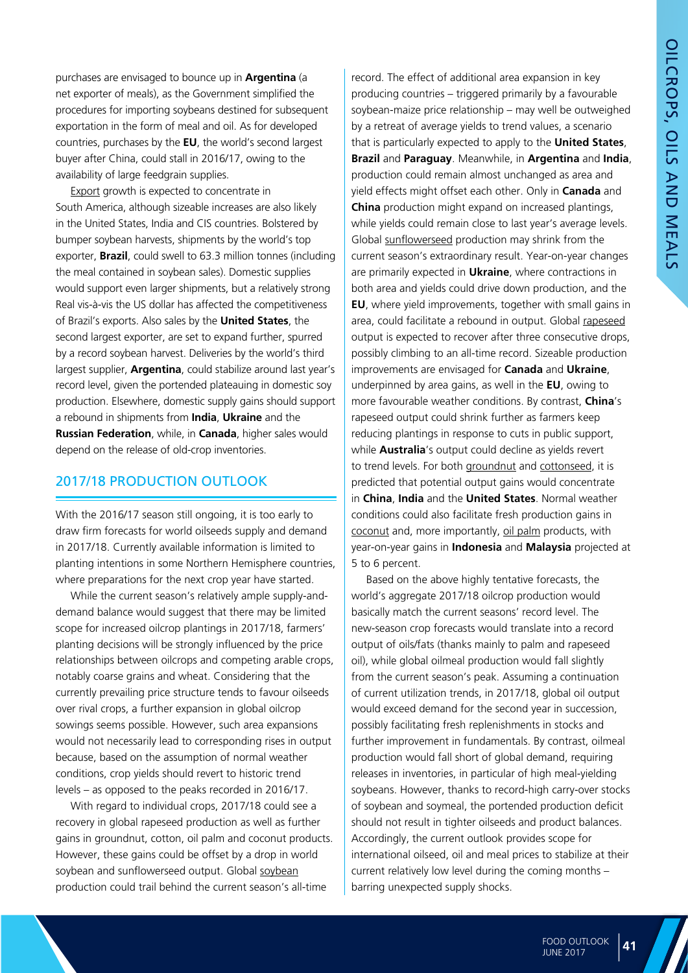purchases are envisaged to bounce up in **Argentina** (a net exporter of meals), as the Government simplified the procedures for importing soybeans destined for subsequent exportation in the form of meal and oil. As for developed countries, purchases by the **EU**, the world's second largest buyer after China, could stall in 2016/17, owing to the availability of large feedgrain supplies.

Export growth is expected to concentrate in South America, although sizeable increases are also likely in the United States, India and CIS countries. Bolstered by bumper soybean harvests, shipments by the world's top exporter, **Brazil**, could swell to 63.3 million tonnes (including the meal contained in soybean sales). Domestic supplies would support even larger shipments, but a relatively strong Real vis-à-vis the US dollar has affected the competitiveness of Brazil's exports. Also sales by the **United States**, the second largest exporter, are set to expand further, spurred by a record soybean harvest. Deliveries by the world's third largest supplier, **Argentina**, could stabilize around last year's record level, given the portended plateauing in domestic soy production. Elsewhere, domestic supply gains should support a rebound in shipments from **India**, **Ukraine** and the **Russian Federation**, while, in **Canada**, higher sales would depend on the release of old-crop inventories.

#### 2017/18 PRODUCTION OUTLOOK

With the 2016/17 season still ongoing, it is too early to draw firm forecasts for world oilseeds supply and demand in 2017/18. Currently available information is limited to planting intentions in some Northern Hemisphere countries, where preparations for the next crop year have started.

While the current season's relatively ample supply-anddemand balance would suggest that there may be limited scope for increased oilcrop plantings in 2017/18, farmers' planting decisions will be strongly influenced by the price relationships between oilcrops and competing arable crops, notably coarse grains and wheat. Considering that the currently prevailing price structure tends to favour oilseeds over rival crops, a further expansion in global oilcrop sowings seems possible. However, such area expansions would not necessarily lead to corresponding rises in output because, based on the assumption of normal weather conditions, crop yields should revert to historic trend levels – as opposed to the peaks recorded in 2016/17.

With regard to individual crops, 2017/18 could see a recovery in global rapeseed production as well as further gains in groundnut, cotton, oil palm and coconut products. However, these gains could be offset by a drop in world soybean and sunflowerseed output. Global soybean production could trail behind the current season's all-time

record. The effect of additional area expansion in key producing countries – triggered primarily by a favourable soybean-maize price relationship – may well be outweighed by a retreat of average yields to trend values, a scenario that is particularly expected to apply to the **United States**, **Brazil** and **Paraguay**. Meanwhile, in **Argentina** and **India**, production could remain almost unchanged as area and yield effects might offset each other. Only in **Canada** and **China** production might expand on increased plantings, while yields could remain close to last year's average levels. Global sunflowerseed production may shrink from the current season's extraordinary result. Year-on-year changes are primarily expected in **Ukraine**, where contractions in both area and yields could drive down production, and the **EU**, where yield improvements, together with small gains in area, could facilitate a rebound in output. Global rapeseed output is expected to recover after three consecutive drops, possibly climbing to an all-time record. Sizeable production improvements are envisaged for **Canada** and **Ukraine**, underpinned by area gains, as well in the **EU**, owing to more favourable weather conditions. By contrast, **China**'s rapeseed output could shrink further as farmers keep reducing plantings in response to cuts in public support, while **Australia**'s output could decline as yields revert to trend levels. For both groundnut and cottonseed, it is predicted that potential output gains would concentrate in **China**, **India** and the **United States**. Normal weather conditions could also facilitate fresh production gains in coconut and, more importantly, oil palm products, with year-on-year gains in **Indonesia** and **Malaysia** projected at 5 to 6 percent.

Based on the above highly tentative forecasts, the world's aggregate 2017/18 oilcrop production would basically match the current seasons' record level. The new-season crop forecasts would translate into a record output of oils/fats (thanks mainly to palm and rapeseed oil), while global oilmeal production would fall slightly from the current season's peak. Assuming a continuation of current utilization trends, in 2017/18, global oil output would exceed demand for the second year in succession, possibly facilitating fresh replenishments in stocks and further improvement in fundamentals. By contrast, oilmeal production would fall short of global demand, requiring releases in inventories, in particular of high meal-yielding soybeans. However, thanks to record-high carry-over stocks of soybean and soymeal, the portended production deficit should not result in tighter oilseeds and product balances. Accordingly, the current outlook provides scope for international oilseed, oil and meal prices to stabilize at their current relatively low level during the coming months – barring unexpected supply shocks.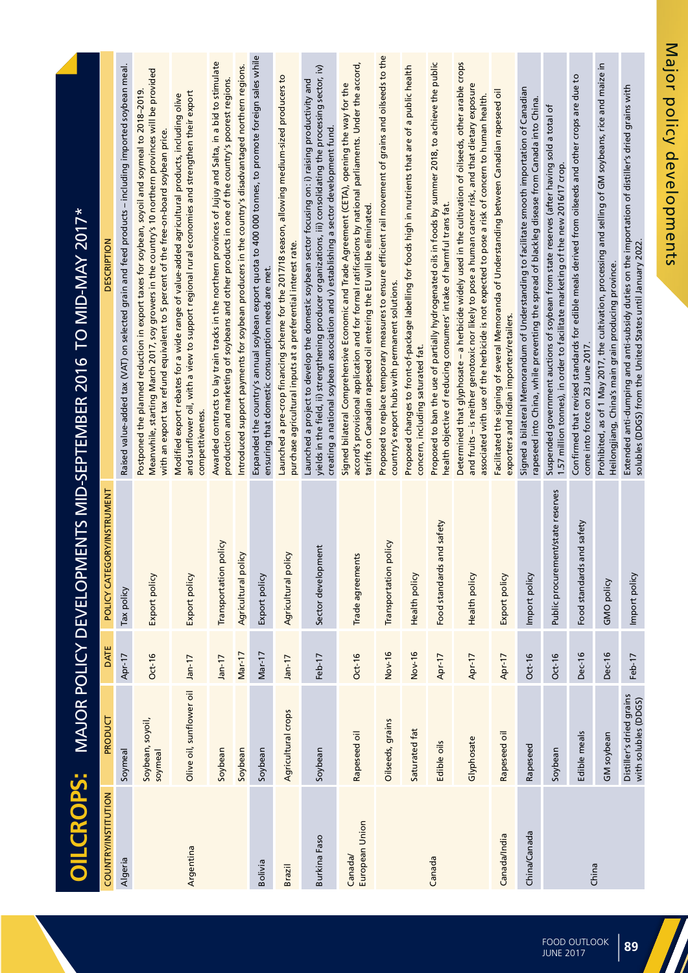| <b>OILCROPS:</b>          |                                                  |          |                                   | MAJOR POLICY DEVELOPMENTS MID-SEPTEMBER 2016 TO MID-MAY 2017*                                                                                                                                                                                                                                                     |
|---------------------------|--------------------------------------------------|----------|-----------------------------------|-------------------------------------------------------------------------------------------------------------------------------------------------------------------------------------------------------------------------------------------------------------------------------------------------------------------|
| COUNTRY/INSTITUTION       | PRODUCT                                          | DATE     | POLICY CATEGORY/INSTRUMENT        | <b>DESCRIPTION</b>                                                                                                                                                                                                                                                                                                |
| Algeria                   | Soymeal                                          | Apr-17   | Tax policy                        | Raised value-added tax (VAT) on selected grain and feed products - including imported soybean meal.                                                                                                                                                                                                               |
|                           | Soybean, soyoil,<br>soymeal                      | $Oct-16$ | Export policy                     | Meanwhile, starting March 2017, soy growers in the country's 10 northern provinces will be provided<br>Postponed the planned reduction in export taxes for soybean, soyoil and soymeal to 2018-2019.<br>with an export tax refund equivalent to 5 percent of the free-on-board soybean price.                     |
| Argentina                 | Olive oil, sunflower oil                         | $Jan-17$ | Export policy                     | and sunflower oil, with a view to support regional rural economies and strengthen their export<br>Modified export rebates for a wide range of value-added agricultural products, including olive<br>competitiveness.                                                                                              |
|                           | Soybean                                          | $Jan-17$ | policy<br>Transportation          | Awarded contracts to lay train tracks in the northern provinces of Jujuy and Salta, in a bid to stimulate<br>production and marketing of soybeans and other products in one of the country's poorest regions.                                                                                                     |
|                           | Soybean                                          | Mar-17   | Agricultural policy               | Introduced support payments for soybean producers in the country's disadvantaged northern regions.                                                                                                                                                                                                                |
| Bolivia                   | Soybean                                          | Mar-17   | Export policy                     | Expanded the country's annual soybean export quota to 400 000 tonnes, to promote foreign sales while<br>ensuring that domestic consumption needs are met.                                                                                                                                                         |
| <b>Brazil</b>             | Agricultural crops                               | Jan-17   | Agricultural policy               | Launched a pre-crop financing scheme for the 2017/18 season, allowing medium-sized producers to<br>purchase agricultural inputs at a preferential interest rate.                                                                                                                                                  |
| <b>Burkina Faso</b>       | Soybean                                          | Feb-17   | Sector development                | yields in the field, ii) strengthening producer organizations, iii) consolidating the processing sector, iv)<br>Launched a project to develop the domestic soybean sector focusing on: i) raising productivity and<br>creating a national soybean association and v) establishing a sector development fund.      |
| European Union<br>Canada/ | Rapeseed oil                                     | Oct-16   | Trade agreements                  | accord's provisional application and for formal ratifications by national parliaments. Under the accord,<br>Signed bilateral Comprehensive Economic and Trade Agreement (CETA), opening the way for the<br>tariffs on Canadian rapeseed oil entering the EU will be eliminated.                                   |
|                           | Oilseeds, grains                                 | Nov-16   | policy<br>Transportation          | Proposed to replace temporary measures to ensure efficient rail movement of grains and oilseeds to the<br>country's export hubs with permanent solutions.                                                                                                                                                         |
|                           | Saturated fat                                    | Nov-16   | Health policy                     | Proposed changes to front-of-package labelling for foods high in nutrients that are of a public health<br>concern, including saturated fat.                                                                                                                                                                       |
| Canada                    | Edible oils                                      | Apr-17   | Food standards and safety         | Proposed to ban the use of partially hydrogenated oils in foods by summer 2018, to achieve the public<br>health objective of reducing consumers' intake of harmful trans fat.                                                                                                                                     |
|                           | Glyphosate                                       | Apr-17   | Health policy                     | Determined that glyphosate – a herbicide widely used in the cultivation of oilseeds, other arable crops<br>and fruits – is neither genotoxic nor likely to pose a human cancer risk, and that dietary exposure<br>associated with use of the herbicide is not expected to pose a risk of concern to human health. |
| Canada/India              | Rapeseed oil                                     | Apr-17   | Export policy                     | Facilitated the signing of several Memoranda of Understanding between Canadian rapeseed oil<br>exporters and Indian importers/retailers.                                                                                                                                                                          |
| China/Canada              | Rapeseed                                         | $Oct-16$ | Import policy                     | Signed a bilateral Memorandum of Understanding to facilitate smooth importation of Canadian<br>rapeseed into China, while preventing the spread of blackleg disease from Canada into China.                                                                                                                       |
|                           | Soybean                                          | $Oct-16$ | Public procurement/state reserves | Suspended government auctions of soybean from state reserves (after having sold a total of<br>1.57 million tonnes), in order to facilitate marketing of the new 2016/17 crop.                                                                                                                                     |
| China                     | Edible meals                                     | Dec-16   | Food standards and safety         | Confirmed that revised standards for edible meals derived from oilseeds and other crops are due to<br>come into force on 23 June 2017.                                                                                                                                                                            |
|                           | GM soybean                                       | Dec-16   | GMO policy                        | Prohibited, as of 1 May 2017, the cultivation, processing and selling of GM soybeans, rice and maize in<br>Heilongjiang, China's main grain producing province.                                                                                                                                                   |
|                           | Distiller's dried grains<br>with solubles (DDGS) | Feb-17   | Import policy                     | Extended anti-dumping and anti-subsidy duties on the importation of distiller's dried grains with<br>solubles (DDGS) from the United States until January 2022.                                                                                                                                                   |

Major policy developments Major policy developments

**88 89** FOOD OUTLOOK Food Outlook<br>June 2017

7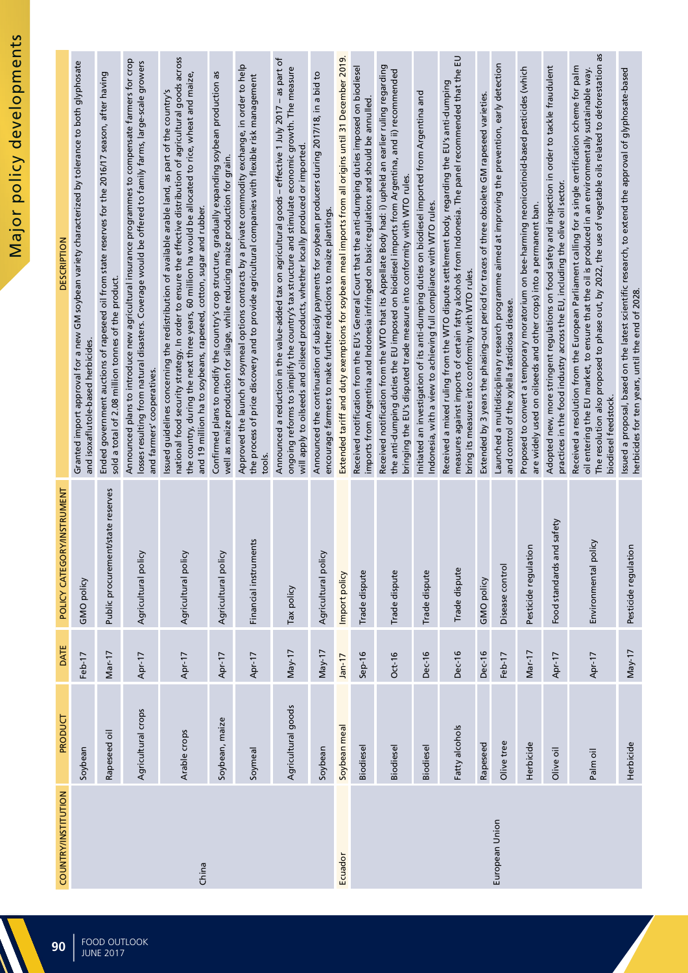| COUNTRY/INSTITUTION | PRODUCT            | DATE          | POLICY CATEGORY/INSTRUMENT        | <b>DESCRIPTION</b>                                                                                                                                                                                                                                                                                                                                                                              |
|---------------------|--------------------|---------------|-----------------------------------|-------------------------------------------------------------------------------------------------------------------------------------------------------------------------------------------------------------------------------------------------------------------------------------------------------------------------------------------------------------------------------------------------|
|                     | Soybean            | Feb-17        | GMO policy                        | Granted import approval for a new GM soybean variety characterized by tolerance to both glyphosate<br>and isoxaflutole-based herbicides.                                                                                                                                                                                                                                                        |
|                     | Rapeseed oil       | $Mar-17$      | Public procurement/state reserves | Ended government auctions of rapeseed oil from state reserves for the 2016/17 season, after having<br>sold a total of 2.08 million tonnes of the product.                                                                                                                                                                                                                                       |
|                     | Agricultural crops | Apr-17        | Agricultural policy               | Announced plans to introduce new agricultural insurance programmes to compensate farmers for crop<br>losses resulting from natural disasters. Coverage would be offered to family farms, large-scale growers<br>and farmers' cooperatives.                                                                                                                                                      |
| China               | Arable crops       | Apr-17        | Agricultural policy               | national food security strategy. In order to ensure the effective distribution of agricultural goods across<br>the country, during the next three years, 60 million ha would be allocated to rice, wheat and maize,<br>Issued guidelines concerning the redistribution of available arable land, as part of the country's<br>and 19 million ha to soybeans, rapeseed, cotton, sugar and rubber. |
|                     | Soybean, maize     | Apr-17        | Agricultural policy               | Confirmed plans to modify the country's crop structure, gradually expanding soybean production as<br>well as maize production for silage, while reducing maize production for grain.                                                                                                                                                                                                            |
|                     | Soymeal            | Apr-17        | Financial instruments             | Approved the launch of soymeal options contracts by a private commodity exchange, in order to help<br>the process of price discovery and to provide agricultural companies with flexible risk management<br>tools.                                                                                                                                                                              |
|                     | Agricultural goods | $May-17$      | Tax policy                        | Announced a reduction in the value-added tax on agricultural goods – effective 1 July 2017 – as part of<br>ongoing reforms to simplify the country's tax structure and stimulate economic growth. The measure<br>will apply to oilseeds and oilseed products, whether locally produced or imported.                                                                                             |
|                     | Soybean            | $May-17$      | Agricultural policy               | Announced the continuation of subsidy payments for soybean producers during 2017/18, in a bid to<br>encourage farmers to make further reductions to maize plantings.                                                                                                                                                                                                                            |
| Ecuador             | Soybean meal       | $Jan-17$      | Import policy                     | Extended tariff and duty exemptions for soybean meal imports from all origins until 31 December 2019.                                                                                                                                                                                                                                                                                           |
|                     | Biodiesel          | $Sep-16$      | Trade dispute                     | Received notification from the EU's General Court that the anti-dumping duties imposed on biodiesel<br>imports from Argentina and Indonesia infringed on basic regulations and should be annulled.                                                                                                                                                                                              |
|                     | Biodiesel          | $Oct-16$      | Trade dispute                     | Received notification from the WTO that its Appellate Body had: i) upheld an earlier ruling regarding<br>the anti-dumping duties the EU imposed on biodiesel imports from Argentina, and ii) recommended<br>bringing the EU's disputed trade measure into conformity with WTO rules.                                                                                                            |
|                     | Biodiesel          | <b>Dec-16</b> | Trade dispute                     | Initiated an investigation of its anti-dumping duties on biodiesel imported from Argentina and<br>Indonesia, with a view to achieving full compliance with WTO rules.                                                                                                                                                                                                                           |
|                     | Fatty alcohols     | <b>Dec-16</b> | Trade dispute                     | measures against imports of certain fatty alcohols from Indonesia. The panel recommended that the EU<br>Received a mixed ruling from the WTO dispute settlement body, regarding the EU's anti-dumping<br>bring its measures into conformity with WTO rules.                                                                                                                                     |
|                     | Rapeseed           | <b>Dec-16</b> | GMO policy                        | Extended by 3 years the phasing-out period for traces of three obsolete GM rapeseed varieties.                                                                                                                                                                                                                                                                                                  |
| European Union      | Olive tree         | Feb-17        | Disease control                   | Launched a multidisciplinary research programme aimed at improving the prevention, early detection<br>and control of the xylella fastidiosa disease.                                                                                                                                                                                                                                            |
|                     | Herbicide          | Mar-17        | Pesticide regulation              | Proposed to convert a temporary moratorium on bee-harming neonicotinoid-based pesticides (which<br>are widely used on oilseeds and other crops) into a permanent ban.                                                                                                                                                                                                                           |
|                     | Olive oil          | Apr-17        | and safety<br>Food standards      | Adopted new, more stringent regulations on food safety and inspection in order to tackle fraudulent<br>practices in the food industry across the EU, including the olive oil sector.                                                                                                                                                                                                            |
|                     | Palm oil           | Apr-17        | policy<br>Environmental           | The resolution also proposed to phase out, by 2022, the use of vegetable oils related to deforestation as<br>Received a resolution from the European Parliament calling for a single certification scheme for palm<br>oil entering the EU market, to ensure that the oil is produced in an environmentally sustainable way.<br>biodiesel feedstock.                                             |
|                     | Herbicide          | $May-17$      | Pesticide regulation              | Issued a proposal, based on the latest scientific research, to extend the approval of glyphosate-based<br>herbicides for ten years, until the end of 2028.                                                                                                                                                                                                                                      |

 $\blacksquare$  $\blacktriangle$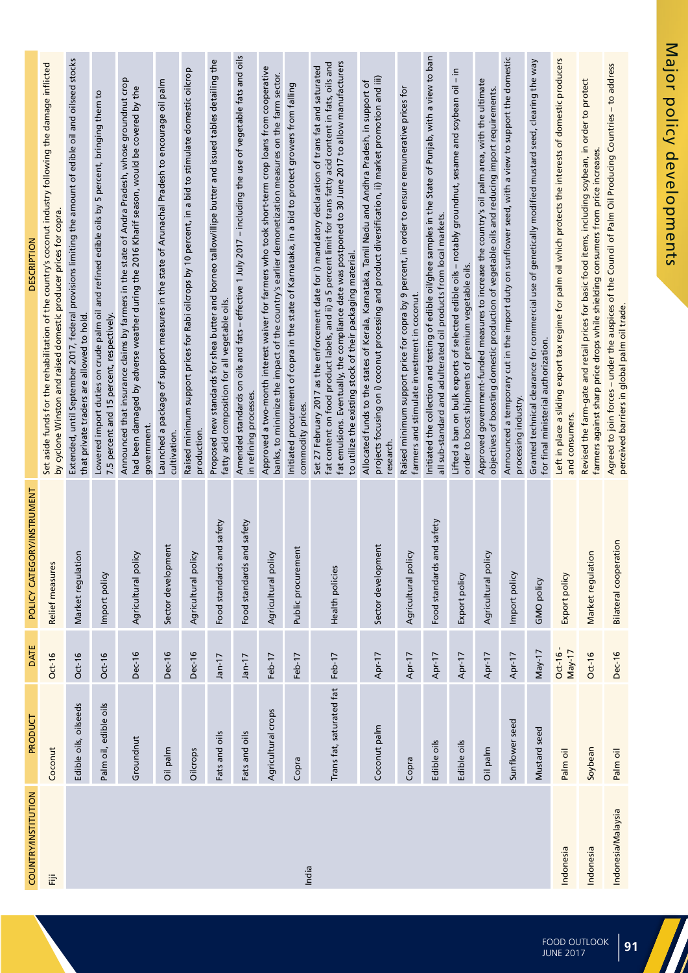| COUNTRY/INSTITUTION | PRODUCT                  | <b>DATE</b>            | POLICY CATEGORY/INSTRUMENT   | <b>DESCRIPTION</b>                                                                                                                                                                                                                                                                                                                                                                        |
|---------------------|--------------------------|------------------------|------------------------------|-------------------------------------------------------------------------------------------------------------------------------------------------------------------------------------------------------------------------------------------------------------------------------------------------------------------------------------------------------------------------------------------|
| 语                   | Coconut                  | $Oct-16$               | Relief measures              | Set aside funds for the rehabilitation of the country's coconut industry following the damage inflicted<br>by cyclone Winston and raised domestic producer prices for copra.                                                                                                                                                                                                              |
|                     | Edible oils, oilseeds    | $Oct-16$               | Market regulation            | Extended, until September 2017, federal provisions limiting the amount of edible oil and oilseed stocks<br>that private traders are allowed to hold.                                                                                                                                                                                                                                      |
|                     | Palm oil, edible oils    | $Oct-16$               | Import policy                | Lowered import duties on crude palm oil and refined edible oils by 5 percent, bringing them to<br>percent and 15 percent, respectively.<br>7.5                                                                                                                                                                                                                                            |
|                     | Groundnut                | Dec-16                 | Agricultural policy          | Announced that insurance claims by farmers in the state of Andra Pradesh, whose groundnut crop<br>had been damaged by adverse weather during the 2016 Kharif season, would be covered by the<br>government.                                                                                                                                                                               |
|                     | Oil palm                 | <b>Dec-16</b>          | Sector development           | Launched a package of support measures in the state of Arunachal Pradesh to encourage oil palm<br>cultivation.                                                                                                                                                                                                                                                                            |
|                     | Oilcrops                 | <b>Dec-16</b>          | Agricultural policy          | Raised minimum support prices for Rabi oilcrops by 10 percent, in a bid to stimulate domestic oilcrop<br>production.                                                                                                                                                                                                                                                                      |
|                     | Fats and oils            | $Jan-17$               | Food standards and safety    | Proposed new standards for shea butter and borneo tallow/illipe butter and issued tables detailing the<br>fatty acid composition for all vegetable oils.                                                                                                                                                                                                                                  |
|                     | Fats and oils            | $Jan-17$               | Food standards and safety    | Amended standards on oils and fats – effective 1 July 2017 – including the use of vegetable fats and oils<br>in refining processes.                                                                                                                                                                                                                                                       |
|                     | Agricultural crops       | Feb-17                 | Agricultural policy          | Approved a two-month interest waiver for farmers who took short-term crop loans from cooperative<br>banks, to minimize the impact of the country's earlier demonetization measures on the farm sector.                                                                                                                                                                                    |
| India               | Copra                    | Feb-17                 | Public procurement           | Initiated procurement of copra in the state of Karnataka, in a bid to protect growers from falling<br>commodity prices.                                                                                                                                                                                                                                                                   |
|                     | Trans fat, saturated fat | Feb-17                 | Health policies              | fat emulsions. Eventually, the compliance date was postponed to 30 June 2017 to allow manufacturers<br>fat content on food product labels, and ii) a 5 percent limit for trans fatty acid content in fats, oils and<br>Set 27 February 2017 as the enforcement date for i) mandatory declaration of trans fat and saturated<br>to utilize the existing stock of their packaging material. |
|                     | Coconut palm             | Apr-17                 | Sector development           | projects focusing on i) coconut processing and product diversification, ii) market promotion and iii)<br>Allocated funds to the states of Kerala, Karnataka, Tamil Nadu and Andhra Pradesh, in support of<br>research.                                                                                                                                                                    |
|                     | Copra                    | Apr-17                 | Agricultural policy          | Raised minimum support price for copra by 9 percent, in order to ensure remunerative prices for<br>farmers and stimulate investment in coconut.                                                                                                                                                                                                                                           |
|                     | Edible oils              | Apr-17                 | Food standards and safety    | Initiated the collection and testing of edible oil/ghee samples in the State of Punjab, with a view to ban<br>all sub-standard and adulterated oil products from local markets.                                                                                                                                                                                                           |
|                     | Edible oils              | Apr-17                 | Export policy                | Lifted a ban on bulk exports of selected edible oils - notably groundnut, sesame and soybean oil - in<br>order to boost shipments of premium vegetable oils.                                                                                                                                                                                                                              |
|                     | Oil palm                 | Apr-17                 | Agricultural policy          | Approved government-funded measures to increase the country's oil palm area, with the ultimate<br>objectives of boosting domestic production of vegetable oils and reducing import requirements.                                                                                                                                                                                          |
|                     | Sunflower seed           | Apr-17                 | Import policy                | Announced a temporary cut in the import duty on sunflower seed, with a view to support the domestic<br>processing industry.                                                                                                                                                                                                                                                               |
|                     | Mustard seed             | $May-17$               | <b>GMO policy</b>            | Granted technical clearance for commercial use of genetically modified mustard seed, clearing the way<br>for final ministerial authorization.                                                                                                                                                                                                                                             |
| Indonesia           | Palm oil                 | $Oct-16 -$<br>$May-17$ | Export policy                | Left in place a sliding export tax regime for palm oil which protects the interests of domestic producers<br>and consumers.                                                                                                                                                                                                                                                               |
| Indonesia           | Soybean                  | Oct-16                 | Market regulation            | Revised the farm-gate and retail prices for basic food items, including soybean, in order to protect<br>farmers against sharp price drops while shielding consumers from price increases.                                                                                                                                                                                                 |
| Indonesia/Malaysia  | Palm oil                 | <b>Dec-16</b>          | <b>Bilateral cooperation</b> | Agreed to join forces - under the auspices of the Council of Palm Oil Producing Countries - to address<br>perceived barriers in global palm oil trade.                                                                                                                                                                                                                                    |

7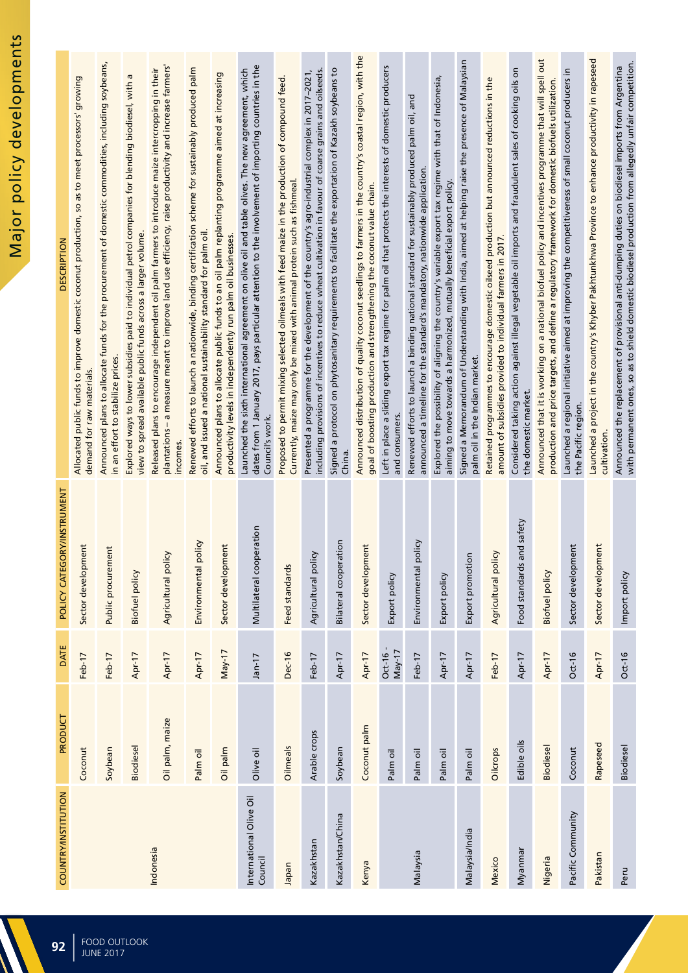| <b>COUNTRY/INSTITUTION</b>         | PRODUCT         | DATE                   | POLICY CATEGORY/INSTRUMENT | <b>DESCRIPTION</b>                                                                                                                                                                                                             |
|------------------------------------|-----------------|------------------------|----------------------------|--------------------------------------------------------------------------------------------------------------------------------------------------------------------------------------------------------------------------------|
|                                    | Coconut         | Feb-17                 | Sector development         | Allocated public funds to improve domestic coconut production, so as to meet processors' growing<br>demand for raw materials.                                                                                                  |
|                                    | Soybean         | Feb-17                 | Public procurement         | Announced plans to allocate funds for the procurement of domestic commodities, including soybeans,<br>in an effort to stabilize prices.                                                                                        |
|                                    | Biodiesel       | Apr-17                 | <b>Biofuel policy</b>      | ā<br>Explored ways to lower subsidies paid to individual petrol companies for blending biodiesel, with<br>view to spread available public funds across a larger volume.                                                        |
| Indonesia                          | Oil palm, maize | Apr-17                 | Agricultural policy        | plantations – a measure meant to improve land use efficiency, raise productivity and increase farmers'<br>Released plans to encourage independent oil palm farmers to introduce maize intercropping in their<br>incomes.       |
|                                    | Palm oil        | Apr-17                 | policy<br>Environmental    | Renewed efforts to launch a nationwide, binding certification scheme for sustainably produced palm<br>oil, and issued a national sustainability standard for palm oil.                                                         |
|                                    | Oil palm        | $May-17$               | Sector development         | Announced plans to allocate public funds to an oil palm replanting programme aimed at increasing<br>productivity levels in independently run palm oil businesses.                                                              |
| International Olive Oil<br>Council | Olive oil       | $Jan-17$               | Multilateral cooperation   | dates from 1 January 2017, pays particular attention to the involvement of importing countries in the<br>Launched the sixth international agreement on olive oil and table olives. The new agreement, which<br>Council's work. |
| naqal                              | Oilmeals        | <b>Dec-16</b>          | Feed standards             | Proposed to permit mixing selected oilmeals with feed maize in the production of compound feed.<br>Currently, maize may only be mixed with animal protein such as fishmeal.                                                    |
| Kazakhstan                         | Arable crops    | Feb-17                 | Agricultural policy        | including provisions of incentives to reduce wheat cultivation in favour of coarse grains and oilseeds.<br>Presented a programme for the development of the country's agro-industrial complex in 2017-2021,                    |
| Kazakhstan/China                   | Soybean         | Apr-17                 | Bilateral cooperation      | Signed a protocol on phytosanitary requirements to facilitate the exportation of Kazakh soybeans to<br>China.                                                                                                                  |
| Kenya                              | Coconut palm    | Apr-17                 | Sector development         | Announced distribution of quality coconut seedlings to farmers in the country's coastal region, with the<br>goal of boosting production and strengthening the coconut value chain.                                             |
|                                    | Palm oil        | $Oct-16 -$<br>$May-17$ | Export policy              | Left in place a sliding export tax regime for palm oil that protects the interests of domestic producers<br>and consumers.                                                                                                     |
| Malaysia                           | Palm oil        | Feb-17                 | policy<br>Environmenta     | Renewed efforts to launch a binding national standard for sustainably produced palm oil, and<br>announced a timeline for the standard's mandatory, nationwide application.                                                     |
|                                    | Palm oil        | Apr-17                 | Export policy              | Explored the possibility of aligning the country's variable export tax regime with that of Indonesia,<br>aiming to move towards a harmonized, mutually beneficial export policy.                                               |
| Malaysia/India                     | Palm oil        | Apr-17                 | Export promotion           | Signed a Memorandum of Understanding with India, aimed at helping raise the presence of Malaysian<br>palm oil in the Indian market.                                                                                            |
| Mexico                             | Oilcrops        | Feb-17                 | Agricultural policy        | Retained programmes to encourage domestic oilseed production but announced reductions in the<br>amount of subsidies provided to individual farmers in 2017.                                                                    |
| Myanmar                            | Edible oils     | Apr-17                 | Food standards and safety  | Considered taking action against illegal vegetable oil imports and fraudulent sales of cooking oils on<br>the domestic market.                                                                                                 |
| Nigeria                            | Biodiesel       | Apr-17                 | <b>Biofuel policy</b>      | Announced that it is working on a national biofuel policy and incentives programme that will spell out<br>production and price targets, and define a regulatory framework for domestic biofuels utilization.                   |
| Pacific Community                  | Coconut         | Oct-16                 | Sector development         | Launched a regional initiative aimed at improving the competitiveness of small coconut producers in<br>the Pacific region.                                                                                                     |
| Pakistan                           | Rapeseed        | Apr-17                 | Sector development         | Launched a project in the country's Khyber Pakhtunkhwa Province to enhance productivity in rapeseed<br>cultivation.                                                                                                            |
| Peru                               | Biodiesel       | $Oct-16$               | Import policy              | with permanent ones, so as to shield domestic biodiesel production from allegedly unfair competition.<br>Announced the replacement of provisional anti-dumping duties on biodiesel imports from Argentina                      |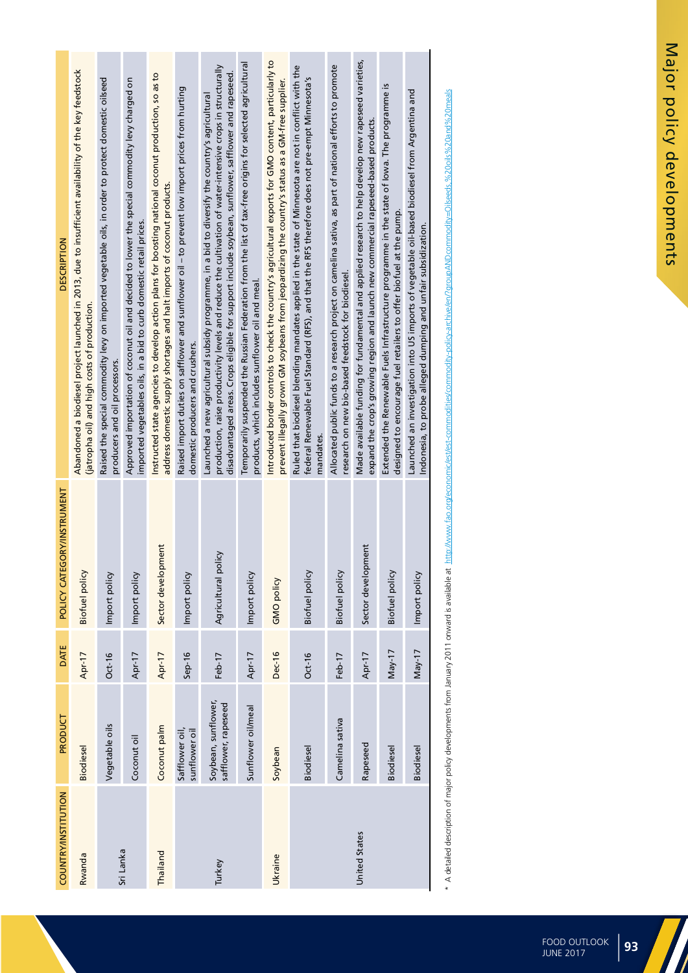| COUNTRY/INSTITUTION | PRODUCT                                    | DATE     | POLICY CATEGORY/INSTRUMENT | <b>DESCRIPTION</b>                                                                                                                                                                                                                                                                                                  |
|---------------------|--------------------------------------------|----------|----------------------------|---------------------------------------------------------------------------------------------------------------------------------------------------------------------------------------------------------------------------------------------------------------------------------------------------------------------|
| Rwanda              | Biodiesel                                  | Apr-17   | Biofuel policy             | Abandoned a biodiesel project launched in 2013, due to insufficient availability of the key feedstock<br>(jatropha oil) and high costs of production.                                                                                                                                                               |
| Sri Lanka           | Vegetable oils                             | $Oct-16$ | Import policy              | Raised the special commodity levy on imported vegetable oils, in order to protect domestic oilseed<br>producers and oil processors.                                                                                                                                                                                 |
|                     | Coconut oil                                | Apr-17   | Import policy              | Approved importation of coconut oil and decided to lower the special commodity levy charged on<br>imported vegetables oils, in a bid to curb domestic retail prices.                                                                                                                                                |
| Thailand            | Coconut palm                               | Apr-17   | Sector development         | Instructed state agencies to develop action plans for boosting national coconut production, so as to<br>address domestic supply shortages and halt imports of coconut products.                                                                                                                                     |
|                     | Safflower oil,<br>sunflower oil            | $Sep-16$ | Import policy              | Raised import duties on safflower and sunflower oil – to prevent low import prices from hurting<br>domestic producers and crushers.                                                                                                                                                                                 |
| Turkey              | Soybean, sunflower,<br>safflower, rapeseed | Feb-17   | Agricultural policy        | production, raise productivity levels and reduce the cultivation of water-intensive crops in structurally<br>disadvantaged areas. Crops eligible for support include soybean, sunflower, safflower and rapeseed.<br>Launched a new agricultural subsidy programme, in a bid to diversify the country's agricultural |
|                     | Sunflower oil/meal                         | Apr-17   | Import policy              | Temporarily suspended the Russian Federation from the list of tax-free origins for selected agricultural<br>products, which includes sunflower oil and meal.                                                                                                                                                        |
| Ukraine             | Soybean                                    | Dec-16   | GMO policy                 | Introduced border controls to check the country's agricultural exports for GMO content, particularly to<br>prevent illegally grown GM soybeans from jeopardizing the country's status as a GM-free supplier.                                                                                                        |
|                     | Biodiesel                                  | $Oct-16$ | Biofuel policy             | Ruled that biodiesel blending mandates applied in the state of Minnesota are not in conflict with the<br>federal Renewable Fuel Standard (RFS), and that the RFS therefore does not pre-empt Minnesota's<br>mandates.                                                                                               |
|                     | Camelina sativa                            | Feb-17   | Biofuel policy             | Allocated public funds to a research project on camelina sativa, as part of national efforts to promote<br>research on new bio-based feedstock for biodiesel.                                                                                                                                                       |
| United States       | Rapeseed                                   | Apr-17   | Sector development         | Made available funding for fundamental and applied research to help develop new rapeseed varieties,<br>expand the crop's growing region and launch new commercial rapeseed-based products.                                                                                                                          |
|                     | Biodiesel                                  | $May-17$ | Biofuel policy             | Extended the Renewable Fuels Infrastructure programme in the state of lowa. The programme is<br>designed to encourage fuel retailers to offer biofuel at the pump.                                                                                                                                                  |
|                     | Biodiesel                                  | $May-17$ | Import policy              | Launched an investigation into US imports of vegetable oil-based biodiesel from Argentina and<br>Indonesia, to probe alleged dumping and unfair subsidization.                                                                                                                                                      |
|                     |                                            |          |                            |                                                                                                                                                                                                                                                                                                                     |

\* A detailed description of major policy developments from January 2011 onward is available at http://www.fao.org/economic/est/est-commodities/commodity-policy-archive/en/2goupAND.commodity=Oliseeds %20oils%20and%20neals \* A detailed description of major policy developments from January 2011 onward is available at http://www.fao.org/economic/est/est-commodities/commodity-policy-archive/en/?groupANDcommodity=Oilseeds,%20oils%20and%20meals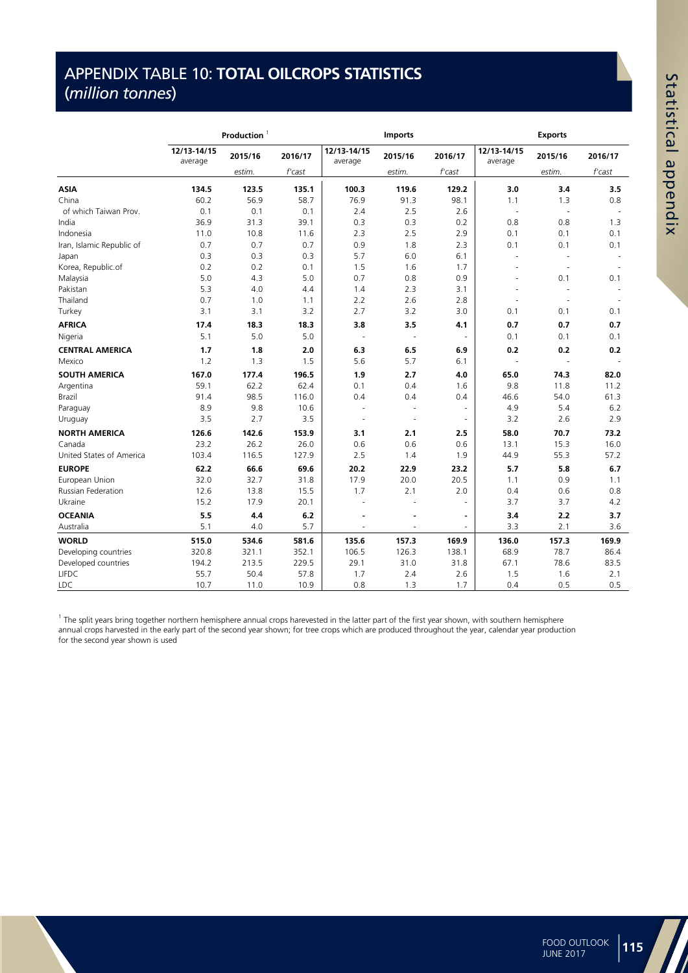## APPENDIX TABLE 10: **TOTAL OILCROPS STATISTICS**  (*million tonnes*)

**APPENDIX TABLE 10: TOTAL OILCROPS STATISTICS (million tonnes)**

|                           |                        | Production <sup>1</sup> |         |                          | <b>Imports</b>           |                          |                        | <b>Exports</b> |         |
|---------------------------|------------------------|-------------------------|---------|--------------------------|--------------------------|--------------------------|------------------------|----------------|---------|
|                           | 12/13-14/15<br>average | 2015/16                 | 2016/17 | 12/13-14/15<br>average   | 2015/16                  | 2016/17                  | 12/13-14/15<br>average | 2015/16        | 2016/17 |
|                           |                        | estim.                  | f cast  |                          | estim.                   | $f$ 'cast                |                        | estim.         | f'cast  |
| <b>ASIA</b>               | 134.5                  | 123.5                   | 135.1   | 100.3                    | 119.6                    | 129.2                    | 3.0                    | 3.4            | 3.5     |
| China                     | 60.2                   | 56.9                    | 58.7    | 76.9                     | 91.3                     | 98.1                     | 1.1                    | 1.3            | 0.8     |
| of which Taiwan Prov.     | 0.1                    | 0.1                     | 0.1     | 2.4                      | 2.5                      | 2.6                      | ÷,                     | ÷,             |         |
| India                     | 36.9                   | 31.3                    | 39.1    | 0.3                      | 0.3                      | 0.2                      | 0.8                    | 0.8            | 1.3     |
| Indonesia                 | 11.0                   | 10.8                    | 11.6    | 2.3                      | 2.5                      | 2.9                      | 0.1                    | 0.1            | 0.1     |
| Iran, Islamic Republic of | 0.7                    | 0.7                     | 0.7     | 0.9                      | 1.8                      | 2.3                      | 0.1                    | 0.1            | 0.1     |
| Japan                     | 0.3                    | 0.3                     | 0.3     | 5.7                      | 6.0                      | 6.1                      | ÷,                     | $\sim$         |         |
| Korea, Republic.of        | 0.2                    | 0.2                     | 0.1     | 1.5                      | 1.6                      | 1.7                      |                        | $\sim$         |         |
| Malaysia                  | 5.0                    | 4.3                     | 5.0     | 0.7                      | 0.8                      | 0.9                      | ÷                      | 0.1            | 0.1     |
| Pakistan                  | 5.3                    | 4.0                     | 4.4     | 1.4                      | 2.3                      | 3.1                      | ä,                     | ÷,             |         |
| Thailand                  | 0.7                    | 1.0                     | 1.1     | 2.2                      | 2.6                      | 2.8                      |                        | ÷,             |         |
| Turkey                    | 3.1                    | 3.1                     | 3.2     | 2.7                      | 3.2                      | 3.0                      | 0.1                    | 0.1            | 0.1     |
| <b>AFRICA</b>             | 17.4                   | 18.3                    | 18.3    | 3.8                      | 3.5                      | 4.1                      | 0.7                    | 0.7            | 0.7     |
| Nigeria                   | 5.1                    | 5.0                     | 5.0     | $\overline{\phantom{a}}$ | $\overline{\phantom{a}}$ | $\overline{\phantom{a}}$ | 0.1                    | 0.1            | 0.1     |
| <b>CENTRAL AMERICA</b>    | 1.7                    | 1.8                     | 2.0     | 6.3                      | 6.5                      | 6.9                      | 0.2                    | 0.2            | 0.2     |
| Mexico                    | 1.2                    | 1.3                     | 1.5     | 5.6                      | 5.7                      | 6.1                      | ä,                     | ÷,             |         |
| <b>SOUTH AMERICA</b>      | 167.0                  | 177.4                   | 196.5   | 1.9                      | 2.7                      | 4.0                      | 65.0                   | 74.3           | 82.0    |
| Argentina                 | 59.1                   | 62.2                    | 62.4    | 0.1                      | 0.4                      | 1.6                      | 9.8                    | 11.8           | 11.2    |
| Brazil                    | 91.4                   | 98.5                    | 116.0   | 0.4                      | 0.4                      | 0.4                      | 46.6                   | 54.0           | 61.3    |
| Paraguay                  | 8.9                    | 9.8                     | 10.6    |                          | ٠                        | ÷,                       | 4.9                    | 5.4            | 6.2     |
| Uruguay                   | 3.5                    | 2.7                     | 3.5     | $\overline{a}$           | $\overline{\phantom{a}}$ | $\overline{\phantom{a}}$ | 3.2                    | 2.6            | 2.9     |
| <b>NORTH AMERICA</b>      | 126.6                  | 142.6                   | 153.9   | 3.1                      | 2.1                      | 2.5                      | 58.0                   | 70.7           | 73.2    |
| Canada                    | 23.2                   | 26.2                    | 26.0    | 0.6                      | 0.6                      | 0.6                      | 13.1                   | 15.3           | 16.0    |
| United States of America  | 103.4                  | 116.5                   | 127.9   | 2.5                      | 1.4                      | 1.9                      | 44.9                   | 55.3           | 57.2    |
| <b>EUROPE</b>             | 62.2                   | 66.6                    | 69.6    | 20.2                     | 22.9                     | 23.2                     | 5.7                    | 5.8            | 6.7     |
| European Union            | 32.0                   | 32.7                    | 31.8    | 17.9                     | 20.0                     | 20.5                     | 1.1                    | 0.9            | 1.1     |
| Russian Federation        | 12.6                   | 13.8                    | 15.5    | 1.7                      | 2.1                      | 2.0                      | 0.4                    | 0.6            | 0.8     |
| Ukraine                   | 15.2                   | 17.9                    | 20.1    |                          | ä,                       | ÷.                       | 3.7                    | 3.7            | 4.2     |
| <b>OCEANIA</b>            | 5.5                    | 4.4                     | 6.2     |                          | ä,                       | $\blacksquare$           | 3.4                    | 2.2            | 3.7     |
| Australia                 | 5.1                    | 4.0                     | 5.7     |                          |                          |                          | 3.3                    | 2.1            | 3.6     |
| <b>WORLD</b>              | 515.0                  | 534.6                   | 581.6   | 135.6                    | 157.3                    | 169.9                    | 136.0                  | 157.3          | 169.9   |
| Developing countries      | 320.8                  | 321.1                   | 352.1   | 106.5                    | 126.3                    | 138.1                    | 68.9                   | 78.7           | 86.4    |
| Developed countries       | 194.2                  | 213.5                   | 229.5   | 29.1                     | 31.0                     | 31.8                     | 67.1                   | 78.6           | 83.5    |
| <b>LIFDC</b>              | 55.7                   | 50.4                    | 57.8    | 1.7                      | 2.4                      | 2.6                      | 1.5                    | 1.6            | 2.1     |
| <b>LDC</b>                | 10.7                   | 11.0                    | 10.9    | 0.8                      | 1.3                      | 1.7                      | 0.4                    | 0.5            | 0.5     |

<sup>1</sup> The split years bring together northern hemisphere annual crops harevested in the latter part of the first year shown, with southern hemisphere annual crops harvested in the early part of the second year shown; for tree crops which are produced throughout the year, calendar year production for the second year shown is used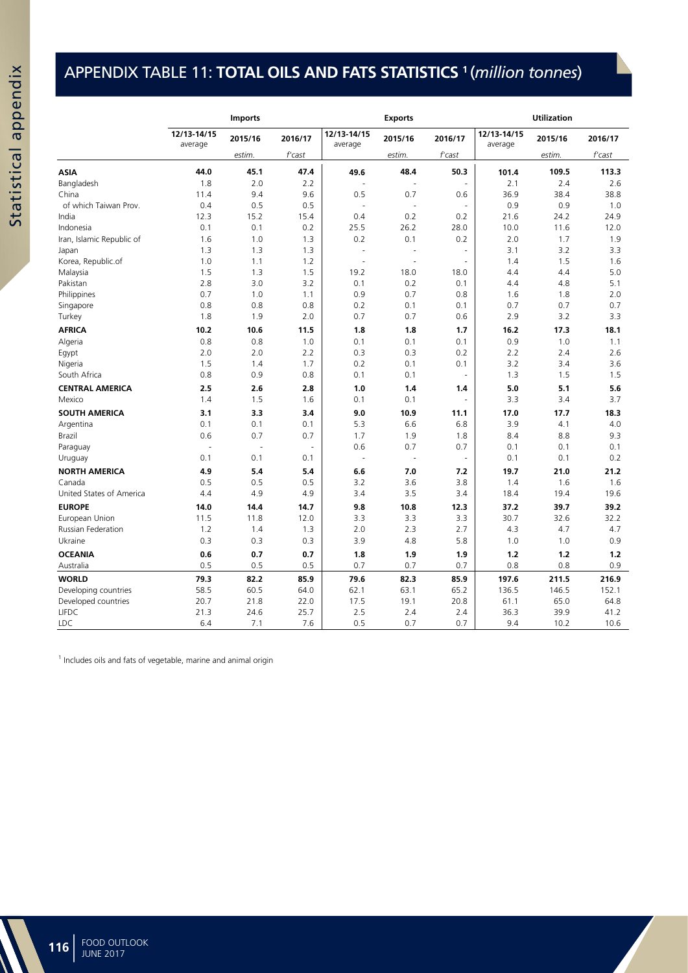## APPENDIX TABLE 11: **TOTAL OILS AND FATS STATISTICS <sup>1</sup>** (*million tonnes*)

(million tonnes)

|                           |                        | <b>Imports</b> |                |                        | <b>Exports</b>           |           |                        | <b>Utilization</b> |         |
|---------------------------|------------------------|----------------|----------------|------------------------|--------------------------|-----------|------------------------|--------------------|---------|
|                           | 12/13-14/15<br>average | 2015/16        | 2016/17        | 12/13-14/15<br>average | 2015/16                  | 2016/17   | 12/13-14/15<br>average | 2015/16            | 2016/17 |
|                           |                        | estim.         | f'cast         |                        | estim.                   | f'cast    |                        | estim.             | f'cast  |
| <b>ASIA</b>               | 44.0                   | 45.1           | 47.4           | 49.6                   | 48.4                     | 50.3      | 101.4                  | 109.5              | 113.3   |
| Bangladesh                | 1.8                    | 2.0            | 2.2            |                        | ä,                       | ä,        | 2.1                    | 2.4                | 2.6     |
| China                     | 11.4                   | 9.4            | 9.6            | 0.5                    | 0.7                      | 0.6       | 36.9                   | 38.4               | 38.8    |
| of which Taiwan Prov.     | 0.4                    | 0.5            | 0.5            | L.                     | J.                       | ÷,        | 0.9                    | 0.9                | 1.0     |
| India                     | 12.3                   | 15.2           | 15.4           | 0.4                    | 0.2                      | 0.2       | 21.6                   | 24.2               | 24.9    |
| Indonesia                 | 0.1                    | 0.1            | 0.2            | 25.5                   | 26.2                     | 28.0      | 10.0                   | 11.6               | 12.0    |
| Iran, Islamic Republic of | 1.6                    | 1.0            | 1.3            | 0.2                    | 0.1                      | 0.2       | 2.0                    | 1.7                | 1.9     |
| Japan                     | 1.3                    | 1.3            | 1.3            | J.                     | J.                       | $\bar{a}$ | 3.1                    | 3.2                | 3.3     |
| Korea, Republic.of        | 1.0                    | 1.1            | 1.2            |                        | J.                       | J.        | 1.4                    | 1.5                | 1.6     |
| Malaysia                  | 1.5                    | 1.3            | 1.5            | 19.2                   | 18.0                     | 18.0      | 4.4                    | 4.4                | 5.0     |
| Pakistan                  | 2.8                    | 3.0            | 3.2            | 0.1                    | 0.2                      | 0.1       | 4.4                    | 4.8                | 5.1     |
| Philippines               | 0.7                    | 1.0            | 1.1            | 0.9                    | 0.7                      | 0.8       | 1.6                    | 1.8                | 2.0     |
| Singapore                 | 0.8                    | 0.8            | 0.8            | 0.2                    | 0.1                      | 0.1       | 0.7                    | 0.7                | 0.7     |
| Turkey                    | 1.8                    | 1.9            | 2.0            | 0.7                    | 0.7                      | 0.6       | 2.9                    | 3.2                | 3.3     |
| <b>AFRICA</b>             | 10.2                   | 10.6           | 11.5           | 1.8                    | 1.8                      | 1.7       | 16.2                   | 17.3               | 18.1    |
| Algeria                   | 0.8                    | 0.8            | 1.0            | 0.1                    | 0.1                      | 0.1       | 0.9                    | 1.0                | 1.1     |
| Egypt                     | 2.0                    | 2.0            | 2.2            | 0.3                    | 0.3                      | 0.2       | 2.2                    | 2.4                | 2.6     |
| Nigeria                   | 1.5                    | 1.4            | 1.7            | 0.2                    | 0.1                      | 0.1       | 3.2                    | 3.4                | 3.6     |
| South Africa              | 0.8                    | 0.9            | 0.8            | 0.1                    | 0.1                      | ÷,        | 1.3                    | 1.5                | 1.5     |
| <b>CENTRAL AMERICA</b>    | 2.5                    | 2.6            | 2.8            | 1.0                    | 1.4                      | 1.4       | 5.0                    | 5.1                | 5.6     |
| Mexico                    | 1.4                    | 1.5            | 1.6            | 0.1                    | 0.1                      |           | 3.3                    | 3.4                | 3.7     |
| <b>SOUTH AMERICA</b>      | 3.1                    | 3.3            | 3.4            | 9.0                    | 10.9                     | 11.1      | 17.0                   | 17.7               | 18.3    |
| Argentina                 | 0.1                    | 0.1            | 0.1            | 5.3                    | 6.6                      | 6.8       | 3.9                    | 4.1                | 4.0     |
| <b>Brazil</b>             | 0.6                    | 0.7            | 0.7            | 1.7                    | 1.9                      | 1.8       | 8.4                    | 8.8                | 9.3     |
| Paraguay                  | ÷,                     | ÷,             | $\blacksquare$ | 0.6                    | 0.7                      | 0.7       | 0.1                    | 0.1                | 0.1     |
| Uruguay                   | 0.1                    | 0.1            | 0.1            | ÷,                     | $\overline{\phantom{a}}$ | ÷,        | 0.1                    | 0.1                | 0.2     |
| <b>NORTH AMERICA</b>      | 4.9                    | 5.4            | 5.4            | 6.6                    | 7.0                      | 7.2       | 19.7                   | 21.0               | 21.2    |
| Canada                    | 0.5                    | 0.5            | 0.5            | 3.2                    | 3.6                      | 3.8       | 1.4                    | 1.6                | 1.6     |
| United States of America  | 4.4                    | 4.9            | 4.9            | 3.4                    | 3.5                      | 3.4       | 18.4                   | 19.4               | 19.6    |
| <b>EUROPE</b>             | 14.0                   | 14.4           | 14.7           | 9.8                    | 10.8                     | 12.3      | 37.2                   | 39.7               | 39.2    |
| European Union            | 11.5                   | 11.8           | 12.0           | 3.3                    | 3.3                      | 3.3       | 30.7                   | 32.6               | 32.2    |
| Russian Federation        | 1.2                    | 1.4            | 1.3            | 2.0                    | 2.3                      | 2.7       | 4.3                    | 4.7                | 4.7     |
| Ukraine                   | 0.3                    | 0.3            | 0.3            | 3.9                    | 4.8                      | 5.8       | 1.0                    | 1.0                | 0.9     |
| <b>OCEANIA</b>            | 0.6                    | 0.7            | 0.7            | 1.8                    | 1.9                      | 1.9       | 1.2                    | $1.2$              | 1.2     |
| Australia                 | 0.5                    | 0.5            | 0.5            | 0.7                    | 0.7                      | 0.7       | 0.8                    | 0.8                | 0.9     |
| <b>WORLD</b>              | 79.3                   | 82.2           | 85.9           | 79.6                   | 82.3                     | 85.9      | 197.6                  | 211.5              | 216.9   |
| Developing countries      | 58.5                   | 60.5           | 64.0           | 62.1                   | 63.1                     | 65.2      | 136.5                  | 146.5              | 152.1   |
| Developed countries       | 20.7                   | 21.8           | 22.0           | 17.5                   | 19.1                     | 20.8      | 61.1                   | 65.0               | 64.8    |
| <b>LIFDC</b>              | 21.3                   | 24.6           | 25.7           | 2.5                    | 2.4                      | 2.4       | 36.3                   | 39.9               | 41.2    |
| <b>LDC</b>                | 6.4                    | 7.1            | 7.6            | 0.5                    | 0.7                      | 0.7       | 9.4                    | 10.2               | 10.6    |
|                           |                        |                |                |                        |                          |           |                        |                    |         |

<sup>1</sup> Includes oils and fats of vegetable, marine and animal origin

**APPENDIX TABLE 11: TOTAL OILS AND FATS STATISTICS** <sup>1</sup>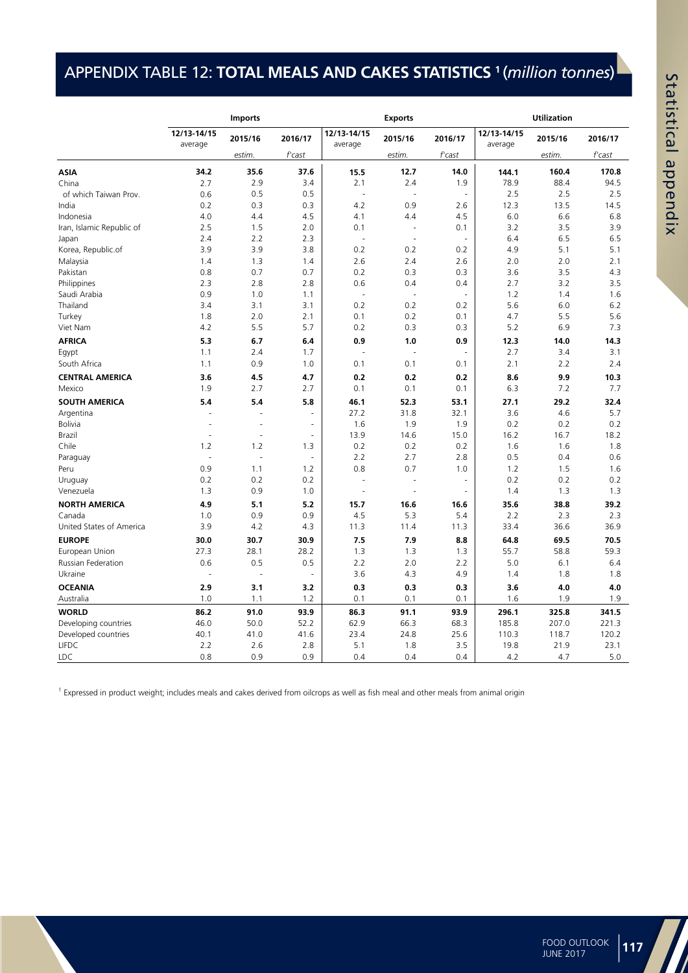## APPENDIX TABLE 12: **TOTAL MEALS AND CAKES STATISTICS <sup>1</sup>** (*million tonnes*)

**APPENDIX TABLE 12: TOTAL MEALS AND CAKES STATISTICS**

| 12/13-14/15<br>12/13-14/15<br>12/13-14/15<br>2015/16<br>2016/17<br>2015/16<br>2016/17<br>2015/16<br>2016/17<br>average<br>average<br>average<br>estim.<br>f'cast<br>estim.<br>f'cast<br>estim.<br>f'cast<br>34.2<br>35.6<br>37.6<br>12.7<br>15.5<br>14.0<br>144.1<br>160.4<br>170.8<br><b>ASIA</b><br>2.1<br>78.9<br>88.4<br>2.7<br>2.9<br>3.4<br>2.4<br>1.9<br>94.5<br>China<br>0.5<br>0.5<br>2.5<br>2.5<br>2.5<br>of which Taiwan Prov.<br>0.6<br>ä,<br>4.2<br>0.2<br>0.3<br>0.3<br>0.9<br>12.3<br>13.5<br>14.5<br>India<br>2.6<br>4.0<br>4.5<br>4.5<br>6.0<br>6.6<br>6.8<br>Indonesia<br>4.4<br>4.1<br>4.4<br>2.5<br>2.0<br>3.2<br>3.5<br>3.9<br>Iran, Islamic Republic of<br>1.5<br>0.1<br>0.1<br>÷,<br>2.2<br>2.3<br>6.5<br>2.4<br>6.4<br>6.5<br>Japan<br>÷,<br>0.2<br>5.1<br>3.9<br>3.9<br>3.8<br>0.2<br>0.2<br>4.9<br>5.1<br>Korea, Republic.of<br>1.3<br>1.4<br>2.6<br>2.4<br>2.6<br>2.0<br>2.0<br>2.1<br>Malaysia<br>1.4<br>0.7<br>0.7<br>0.2<br>0.3<br>0.3<br>3.6<br>3.5<br>4.3<br>Pakistan<br>0.8<br>2.3<br>2.8<br>0.6<br>2.7<br>3.2<br>3.5<br>Philippines<br>2.8<br>0.4<br>0.4<br>Saudi Arabia<br>0.9<br>1.0<br>1.1<br>1.2<br>1.4<br>1.6<br>÷,<br>÷,<br>÷,<br>Thailand<br>3.4<br>3.1<br>3.1<br>0.2<br>0.2<br>0.2<br>5.6<br>6.0<br>6.2<br>2.1<br>4.7<br>5.5<br>5.6<br>Turkey<br>1.8<br>2.0<br>0.1<br>0.2<br>0.1<br>4.2<br>5.5<br>5.7<br>5.2<br>6.9<br>7.3<br>Viet Nam<br>0.2<br>0.3<br>0.3<br><b>AFRICA</b><br>5.3<br>6.4<br>0.9<br>0.9<br>12.3<br>14.0<br>14.3<br>6.7<br>1.0<br>2.7<br>3.4<br>1.1<br>2.4<br>1.7<br>3.1<br>Egypt<br>L.<br>ä,<br>÷,<br>0.9<br>2.1<br>South Africa<br>1.1<br>1.0<br>0.1<br>0.1<br>2.2<br>2.4<br>0.1<br>3.6<br>4.7<br>0.2<br>0.2<br>0.2<br>8.6<br>9.9<br>10.3<br><b>CENTRAL AMERICA</b><br>4.5<br>2.7<br>2.7<br>0.1<br>0.1<br>6.3<br>7.2<br>7.7<br>Mexico<br>1.9<br>0.1<br><b>SOUTH AMERICA</b><br>5.4<br>5.4<br>5.8<br>46.1<br>52.3<br>27.1<br>29.2<br>32.4<br>53.1<br>27.2<br>3.6<br>5.7<br>31.8<br>32.1<br>4.6<br>Argentina<br>ä,<br><b>Bolivia</b><br>1.6<br>1.9<br>1.9<br>0.2<br>0.2<br>0.2<br>ä,<br>Brazil<br>13.9<br>14.6<br>15.0<br>16.2<br>16.7<br>18.2<br>ä,<br>÷,<br>÷<br>1.2<br>0.2<br>1.6<br>1.8<br>Chile<br>1.2<br>1.3<br>0.2<br>0.2<br>1.6<br>2.2<br>2.7<br>2.8<br>0.5<br>0.4<br>0.6<br>L.<br>Paraguay<br>÷.<br>0.8<br>0.9<br>1.1<br>1.2<br>0.7<br>1.0<br>1.2<br>1.5<br>1.6<br>Peru<br>0.2<br>0.2<br>0.2<br>0.2<br>0.2<br>0.2<br>Uruguay<br>J.<br>ä,<br>Venezuela<br>1.3<br>0.9<br>1.0<br>1.4<br>1.3<br>1.3<br>J.<br>ä,<br>J.<br><b>NORTH AMERICA</b><br>4.9<br>35.6<br>38.8<br>39.2<br>5.1<br>5.2<br>15.7<br>16.6<br>16.6<br>5.3<br>Canada<br>1.0<br>0.9<br>0.9<br>4.5<br>5.4<br>2.2<br>2.3<br>2.3<br>United States of America<br>3.9<br>4.2<br>4.3<br>11.3<br>11.4<br>33.4<br>36.6<br>36.9<br>11.3<br><b>EUROPE</b><br>30.0<br>30.7<br>7.5<br>7.9<br>69.5<br>30.9<br>8.8<br>64.8<br>70.5<br>European Union<br>27.3<br>28.1<br>28.2<br>1.3<br>1.3<br>1.3<br>55.7<br>58.8<br>59.3<br>Russian Federation<br>0.6<br>0.5<br>0.5<br>2.2<br>2.0<br>2.2<br>5.0<br>6.1<br>6.4<br>3.6<br>Ukraine<br>4.3<br>4.9<br>1.4<br>1.8<br>1.8<br>ä,<br>ä,<br><b>OCEANIA</b><br>2.9<br>3.1<br>0.3<br>0.3<br>0.3<br>3.6<br>4.0<br>4.0<br>3.2<br>1.0<br>1.1<br>1.2<br>0.1<br>0.1<br>1.6<br>1.9<br>Australia<br>0.1<br>1.9<br>86.2<br>325.8<br><b>WORLD</b><br>91.0<br>93.9<br>86.3<br>91.1<br>93.9<br>296.1<br>341.5<br>46.0<br>50.0<br>52.2<br>62.9<br>66.3<br>185.8<br>207.0<br>221.3<br>Developing countries<br>68.3<br>40.1<br>23.4<br>25.6<br>110.3<br>118.7<br>120.2<br>Developed countries<br>41.0<br>41.6<br>24.8<br>2.2<br>2.8<br>5.1<br><b>LIFDC</b><br>2.6<br>1.8<br>3.5<br>19.8<br>21.9<br>23.1<br>0.9<br>LDC<br>0.8<br>0.9<br>0.4<br>0.4<br>0.4<br>4.2<br>4.7<br>5.0 |  | <b>Imports</b> |  | <b>Exports</b> |  | <b>Utilization</b> |  |
|---------------------------------------------------------------------------------------------------------------------------------------------------------------------------------------------------------------------------------------------------------------------------------------------------------------------------------------------------------------------------------------------------------------------------------------------------------------------------------------------------------------------------------------------------------------------------------------------------------------------------------------------------------------------------------------------------------------------------------------------------------------------------------------------------------------------------------------------------------------------------------------------------------------------------------------------------------------------------------------------------------------------------------------------------------------------------------------------------------------------------------------------------------------------------------------------------------------------------------------------------------------------------------------------------------------------------------------------------------------------------------------------------------------------------------------------------------------------------------------------------------------------------------------------------------------------------------------------------------------------------------------------------------------------------------------------------------------------------------------------------------------------------------------------------------------------------------------------------------------------------------------------------------------------------------------------------------------------------------------------------------------------------------------------------------------------------------------------------------------------------------------------------------------------------------------------------------------------------------------------------------------------------------------------------------------------------------------------------------------------------------------------------------------------------------------------------------------------------------------------------------------------------------------------------------------------------------------------------------------------------------------------------------------------------------------------------------------------------------------------------------------------------------------------------------------------------------------------------------------------------------------------------------------------------------------------------------------------------------------------------------------------------------------------------------------------------------------------------------------------------------------------------------------------------------------------------------------------------------------------------------------------------------------------------------------------------------------------------------------------------------------------------------------------------------------------------------------------------------------------------------------------------------------------------------------------------------------------------------------------------------------------------------------------------------------------------------------------|--|----------------|--|----------------|--|--------------------|--|
|                                                                                                                                                                                                                                                                                                                                                                                                                                                                                                                                                                                                                                                                                                                                                                                                                                                                                                                                                                                                                                                                                                                                                                                                                                                                                                                                                                                                                                                                                                                                                                                                                                                                                                                                                                                                                                                                                                                                                                                                                                                                                                                                                                                                                                                                                                                                                                                                                                                                                                                                                                                                                                                                                                                                                                                                                                                                                                                                                                                                                                                                                                                                                                                                                                                                                                                                                                                                                                                                                                                                                                                                                                                                                                                     |  |                |  |                |  |                    |  |
|                                                                                                                                                                                                                                                                                                                                                                                                                                                                                                                                                                                                                                                                                                                                                                                                                                                                                                                                                                                                                                                                                                                                                                                                                                                                                                                                                                                                                                                                                                                                                                                                                                                                                                                                                                                                                                                                                                                                                                                                                                                                                                                                                                                                                                                                                                                                                                                                                                                                                                                                                                                                                                                                                                                                                                                                                                                                                                                                                                                                                                                                                                                                                                                                                                                                                                                                                                                                                                                                                                                                                                                                                                                                                                                     |  |                |  |                |  |                    |  |
|                                                                                                                                                                                                                                                                                                                                                                                                                                                                                                                                                                                                                                                                                                                                                                                                                                                                                                                                                                                                                                                                                                                                                                                                                                                                                                                                                                                                                                                                                                                                                                                                                                                                                                                                                                                                                                                                                                                                                                                                                                                                                                                                                                                                                                                                                                                                                                                                                                                                                                                                                                                                                                                                                                                                                                                                                                                                                                                                                                                                                                                                                                                                                                                                                                                                                                                                                                                                                                                                                                                                                                                                                                                                                                                     |  |                |  |                |  |                    |  |
|                                                                                                                                                                                                                                                                                                                                                                                                                                                                                                                                                                                                                                                                                                                                                                                                                                                                                                                                                                                                                                                                                                                                                                                                                                                                                                                                                                                                                                                                                                                                                                                                                                                                                                                                                                                                                                                                                                                                                                                                                                                                                                                                                                                                                                                                                                                                                                                                                                                                                                                                                                                                                                                                                                                                                                                                                                                                                                                                                                                                                                                                                                                                                                                                                                                                                                                                                                                                                                                                                                                                                                                                                                                                                                                     |  |                |  |                |  |                    |  |
|                                                                                                                                                                                                                                                                                                                                                                                                                                                                                                                                                                                                                                                                                                                                                                                                                                                                                                                                                                                                                                                                                                                                                                                                                                                                                                                                                                                                                                                                                                                                                                                                                                                                                                                                                                                                                                                                                                                                                                                                                                                                                                                                                                                                                                                                                                                                                                                                                                                                                                                                                                                                                                                                                                                                                                                                                                                                                                                                                                                                                                                                                                                                                                                                                                                                                                                                                                                                                                                                                                                                                                                                                                                                                                                     |  |                |  |                |  |                    |  |
|                                                                                                                                                                                                                                                                                                                                                                                                                                                                                                                                                                                                                                                                                                                                                                                                                                                                                                                                                                                                                                                                                                                                                                                                                                                                                                                                                                                                                                                                                                                                                                                                                                                                                                                                                                                                                                                                                                                                                                                                                                                                                                                                                                                                                                                                                                                                                                                                                                                                                                                                                                                                                                                                                                                                                                                                                                                                                                                                                                                                                                                                                                                                                                                                                                                                                                                                                                                                                                                                                                                                                                                                                                                                                                                     |  |                |  |                |  |                    |  |
|                                                                                                                                                                                                                                                                                                                                                                                                                                                                                                                                                                                                                                                                                                                                                                                                                                                                                                                                                                                                                                                                                                                                                                                                                                                                                                                                                                                                                                                                                                                                                                                                                                                                                                                                                                                                                                                                                                                                                                                                                                                                                                                                                                                                                                                                                                                                                                                                                                                                                                                                                                                                                                                                                                                                                                                                                                                                                                                                                                                                                                                                                                                                                                                                                                                                                                                                                                                                                                                                                                                                                                                                                                                                                                                     |  |                |  |                |  |                    |  |
|                                                                                                                                                                                                                                                                                                                                                                                                                                                                                                                                                                                                                                                                                                                                                                                                                                                                                                                                                                                                                                                                                                                                                                                                                                                                                                                                                                                                                                                                                                                                                                                                                                                                                                                                                                                                                                                                                                                                                                                                                                                                                                                                                                                                                                                                                                                                                                                                                                                                                                                                                                                                                                                                                                                                                                                                                                                                                                                                                                                                                                                                                                                                                                                                                                                                                                                                                                                                                                                                                                                                                                                                                                                                                                                     |  |                |  |                |  |                    |  |
|                                                                                                                                                                                                                                                                                                                                                                                                                                                                                                                                                                                                                                                                                                                                                                                                                                                                                                                                                                                                                                                                                                                                                                                                                                                                                                                                                                                                                                                                                                                                                                                                                                                                                                                                                                                                                                                                                                                                                                                                                                                                                                                                                                                                                                                                                                                                                                                                                                                                                                                                                                                                                                                                                                                                                                                                                                                                                                                                                                                                                                                                                                                                                                                                                                                                                                                                                                                                                                                                                                                                                                                                                                                                                                                     |  |                |  |                |  |                    |  |
|                                                                                                                                                                                                                                                                                                                                                                                                                                                                                                                                                                                                                                                                                                                                                                                                                                                                                                                                                                                                                                                                                                                                                                                                                                                                                                                                                                                                                                                                                                                                                                                                                                                                                                                                                                                                                                                                                                                                                                                                                                                                                                                                                                                                                                                                                                                                                                                                                                                                                                                                                                                                                                                                                                                                                                                                                                                                                                                                                                                                                                                                                                                                                                                                                                                                                                                                                                                                                                                                                                                                                                                                                                                                                                                     |  |                |  |                |  |                    |  |
|                                                                                                                                                                                                                                                                                                                                                                                                                                                                                                                                                                                                                                                                                                                                                                                                                                                                                                                                                                                                                                                                                                                                                                                                                                                                                                                                                                                                                                                                                                                                                                                                                                                                                                                                                                                                                                                                                                                                                                                                                                                                                                                                                                                                                                                                                                                                                                                                                                                                                                                                                                                                                                                                                                                                                                                                                                                                                                                                                                                                                                                                                                                                                                                                                                                                                                                                                                                                                                                                                                                                                                                                                                                                                                                     |  |                |  |                |  |                    |  |
|                                                                                                                                                                                                                                                                                                                                                                                                                                                                                                                                                                                                                                                                                                                                                                                                                                                                                                                                                                                                                                                                                                                                                                                                                                                                                                                                                                                                                                                                                                                                                                                                                                                                                                                                                                                                                                                                                                                                                                                                                                                                                                                                                                                                                                                                                                                                                                                                                                                                                                                                                                                                                                                                                                                                                                                                                                                                                                                                                                                                                                                                                                                                                                                                                                                                                                                                                                                                                                                                                                                                                                                                                                                                                                                     |  |                |  |                |  |                    |  |
|                                                                                                                                                                                                                                                                                                                                                                                                                                                                                                                                                                                                                                                                                                                                                                                                                                                                                                                                                                                                                                                                                                                                                                                                                                                                                                                                                                                                                                                                                                                                                                                                                                                                                                                                                                                                                                                                                                                                                                                                                                                                                                                                                                                                                                                                                                                                                                                                                                                                                                                                                                                                                                                                                                                                                                                                                                                                                                                                                                                                                                                                                                                                                                                                                                                                                                                                                                                                                                                                                                                                                                                                                                                                                                                     |  |                |  |                |  |                    |  |
|                                                                                                                                                                                                                                                                                                                                                                                                                                                                                                                                                                                                                                                                                                                                                                                                                                                                                                                                                                                                                                                                                                                                                                                                                                                                                                                                                                                                                                                                                                                                                                                                                                                                                                                                                                                                                                                                                                                                                                                                                                                                                                                                                                                                                                                                                                                                                                                                                                                                                                                                                                                                                                                                                                                                                                                                                                                                                                                                                                                                                                                                                                                                                                                                                                                                                                                                                                                                                                                                                                                                                                                                                                                                                                                     |  |                |  |                |  |                    |  |
|                                                                                                                                                                                                                                                                                                                                                                                                                                                                                                                                                                                                                                                                                                                                                                                                                                                                                                                                                                                                                                                                                                                                                                                                                                                                                                                                                                                                                                                                                                                                                                                                                                                                                                                                                                                                                                                                                                                                                                                                                                                                                                                                                                                                                                                                                                                                                                                                                                                                                                                                                                                                                                                                                                                                                                                                                                                                                                                                                                                                                                                                                                                                                                                                                                                                                                                                                                                                                                                                                                                                                                                                                                                                                                                     |  |                |  |                |  |                    |  |
|                                                                                                                                                                                                                                                                                                                                                                                                                                                                                                                                                                                                                                                                                                                                                                                                                                                                                                                                                                                                                                                                                                                                                                                                                                                                                                                                                                                                                                                                                                                                                                                                                                                                                                                                                                                                                                                                                                                                                                                                                                                                                                                                                                                                                                                                                                                                                                                                                                                                                                                                                                                                                                                                                                                                                                                                                                                                                                                                                                                                                                                                                                                                                                                                                                                                                                                                                                                                                                                                                                                                                                                                                                                                                                                     |  |                |  |                |  |                    |  |
|                                                                                                                                                                                                                                                                                                                                                                                                                                                                                                                                                                                                                                                                                                                                                                                                                                                                                                                                                                                                                                                                                                                                                                                                                                                                                                                                                                                                                                                                                                                                                                                                                                                                                                                                                                                                                                                                                                                                                                                                                                                                                                                                                                                                                                                                                                                                                                                                                                                                                                                                                                                                                                                                                                                                                                                                                                                                                                                                                                                                                                                                                                                                                                                                                                                                                                                                                                                                                                                                                                                                                                                                                                                                                                                     |  |                |  |                |  |                    |  |
|                                                                                                                                                                                                                                                                                                                                                                                                                                                                                                                                                                                                                                                                                                                                                                                                                                                                                                                                                                                                                                                                                                                                                                                                                                                                                                                                                                                                                                                                                                                                                                                                                                                                                                                                                                                                                                                                                                                                                                                                                                                                                                                                                                                                                                                                                                                                                                                                                                                                                                                                                                                                                                                                                                                                                                                                                                                                                                                                                                                                                                                                                                                                                                                                                                                                                                                                                                                                                                                                                                                                                                                                                                                                                                                     |  |                |  |                |  |                    |  |
|                                                                                                                                                                                                                                                                                                                                                                                                                                                                                                                                                                                                                                                                                                                                                                                                                                                                                                                                                                                                                                                                                                                                                                                                                                                                                                                                                                                                                                                                                                                                                                                                                                                                                                                                                                                                                                                                                                                                                                                                                                                                                                                                                                                                                                                                                                                                                                                                                                                                                                                                                                                                                                                                                                                                                                                                                                                                                                                                                                                                                                                                                                                                                                                                                                                                                                                                                                                                                                                                                                                                                                                                                                                                                                                     |  |                |  |                |  |                    |  |
|                                                                                                                                                                                                                                                                                                                                                                                                                                                                                                                                                                                                                                                                                                                                                                                                                                                                                                                                                                                                                                                                                                                                                                                                                                                                                                                                                                                                                                                                                                                                                                                                                                                                                                                                                                                                                                                                                                                                                                                                                                                                                                                                                                                                                                                                                                                                                                                                                                                                                                                                                                                                                                                                                                                                                                                                                                                                                                                                                                                                                                                                                                                                                                                                                                                                                                                                                                                                                                                                                                                                                                                                                                                                                                                     |  |                |  |                |  |                    |  |
|                                                                                                                                                                                                                                                                                                                                                                                                                                                                                                                                                                                                                                                                                                                                                                                                                                                                                                                                                                                                                                                                                                                                                                                                                                                                                                                                                                                                                                                                                                                                                                                                                                                                                                                                                                                                                                                                                                                                                                                                                                                                                                                                                                                                                                                                                                                                                                                                                                                                                                                                                                                                                                                                                                                                                                                                                                                                                                                                                                                                                                                                                                                                                                                                                                                                                                                                                                                                                                                                                                                                                                                                                                                                                                                     |  |                |  |                |  |                    |  |
|                                                                                                                                                                                                                                                                                                                                                                                                                                                                                                                                                                                                                                                                                                                                                                                                                                                                                                                                                                                                                                                                                                                                                                                                                                                                                                                                                                                                                                                                                                                                                                                                                                                                                                                                                                                                                                                                                                                                                                                                                                                                                                                                                                                                                                                                                                                                                                                                                                                                                                                                                                                                                                                                                                                                                                                                                                                                                                                                                                                                                                                                                                                                                                                                                                                                                                                                                                                                                                                                                                                                                                                                                                                                                                                     |  |                |  |                |  |                    |  |
|                                                                                                                                                                                                                                                                                                                                                                                                                                                                                                                                                                                                                                                                                                                                                                                                                                                                                                                                                                                                                                                                                                                                                                                                                                                                                                                                                                                                                                                                                                                                                                                                                                                                                                                                                                                                                                                                                                                                                                                                                                                                                                                                                                                                                                                                                                                                                                                                                                                                                                                                                                                                                                                                                                                                                                                                                                                                                                                                                                                                                                                                                                                                                                                                                                                                                                                                                                                                                                                                                                                                                                                                                                                                                                                     |  |                |  |                |  |                    |  |
|                                                                                                                                                                                                                                                                                                                                                                                                                                                                                                                                                                                                                                                                                                                                                                                                                                                                                                                                                                                                                                                                                                                                                                                                                                                                                                                                                                                                                                                                                                                                                                                                                                                                                                                                                                                                                                                                                                                                                                                                                                                                                                                                                                                                                                                                                                                                                                                                                                                                                                                                                                                                                                                                                                                                                                                                                                                                                                                                                                                                                                                                                                                                                                                                                                                                                                                                                                                                                                                                                                                                                                                                                                                                                                                     |  |                |  |                |  |                    |  |
|                                                                                                                                                                                                                                                                                                                                                                                                                                                                                                                                                                                                                                                                                                                                                                                                                                                                                                                                                                                                                                                                                                                                                                                                                                                                                                                                                                                                                                                                                                                                                                                                                                                                                                                                                                                                                                                                                                                                                                                                                                                                                                                                                                                                                                                                                                                                                                                                                                                                                                                                                                                                                                                                                                                                                                                                                                                                                                                                                                                                                                                                                                                                                                                                                                                                                                                                                                                                                                                                                                                                                                                                                                                                                                                     |  |                |  |                |  |                    |  |
|                                                                                                                                                                                                                                                                                                                                                                                                                                                                                                                                                                                                                                                                                                                                                                                                                                                                                                                                                                                                                                                                                                                                                                                                                                                                                                                                                                                                                                                                                                                                                                                                                                                                                                                                                                                                                                                                                                                                                                                                                                                                                                                                                                                                                                                                                                                                                                                                                                                                                                                                                                                                                                                                                                                                                                                                                                                                                                                                                                                                                                                                                                                                                                                                                                                                                                                                                                                                                                                                                                                                                                                                                                                                                                                     |  |                |  |                |  |                    |  |
|                                                                                                                                                                                                                                                                                                                                                                                                                                                                                                                                                                                                                                                                                                                                                                                                                                                                                                                                                                                                                                                                                                                                                                                                                                                                                                                                                                                                                                                                                                                                                                                                                                                                                                                                                                                                                                                                                                                                                                                                                                                                                                                                                                                                                                                                                                                                                                                                                                                                                                                                                                                                                                                                                                                                                                                                                                                                                                                                                                                                                                                                                                                                                                                                                                                                                                                                                                                                                                                                                                                                                                                                                                                                                                                     |  |                |  |                |  |                    |  |
|                                                                                                                                                                                                                                                                                                                                                                                                                                                                                                                                                                                                                                                                                                                                                                                                                                                                                                                                                                                                                                                                                                                                                                                                                                                                                                                                                                                                                                                                                                                                                                                                                                                                                                                                                                                                                                                                                                                                                                                                                                                                                                                                                                                                                                                                                                                                                                                                                                                                                                                                                                                                                                                                                                                                                                                                                                                                                                                                                                                                                                                                                                                                                                                                                                                                                                                                                                                                                                                                                                                                                                                                                                                                                                                     |  |                |  |                |  |                    |  |
|                                                                                                                                                                                                                                                                                                                                                                                                                                                                                                                                                                                                                                                                                                                                                                                                                                                                                                                                                                                                                                                                                                                                                                                                                                                                                                                                                                                                                                                                                                                                                                                                                                                                                                                                                                                                                                                                                                                                                                                                                                                                                                                                                                                                                                                                                                                                                                                                                                                                                                                                                                                                                                                                                                                                                                                                                                                                                                                                                                                                                                                                                                                                                                                                                                                                                                                                                                                                                                                                                                                                                                                                                                                                                                                     |  |                |  |                |  |                    |  |
|                                                                                                                                                                                                                                                                                                                                                                                                                                                                                                                                                                                                                                                                                                                                                                                                                                                                                                                                                                                                                                                                                                                                                                                                                                                                                                                                                                                                                                                                                                                                                                                                                                                                                                                                                                                                                                                                                                                                                                                                                                                                                                                                                                                                                                                                                                                                                                                                                                                                                                                                                                                                                                                                                                                                                                                                                                                                                                                                                                                                                                                                                                                                                                                                                                                                                                                                                                                                                                                                                                                                                                                                                                                                                                                     |  |                |  |                |  |                    |  |
|                                                                                                                                                                                                                                                                                                                                                                                                                                                                                                                                                                                                                                                                                                                                                                                                                                                                                                                                                                                                                                                                                                                                                                                                                                                                                                                                                                                                                                                                                                                                                                                                                                                                                                                                                                                                                                                                                                                                                                                                                                                                                                                                                                                                                                                                                                                                                                                                                                                                                                                                                                                                                                                                                                                                                                                                                                                                                                                                                                                                                                                                                                                                                                                                                                                                                                                                                                                                                                                                                                                                                                                                                                                                                                                     |  |                |  |                |  |                    |  |
|                                                                                                                                                                                                                                                                                                                                                                                                                                                                                                                                                                                                                                                                                                                                                                                                                                                                                                                                                                                                                                                                                                                                                                                                                                                                                                                                                                                                                                                                                                                                                                                                                                                                                                                                                                                                                                                                                                                                                                                                                                                                                                                                                                                                                                                                                                                                                                                                                                                                                                                                                                                                                                                                                                                                                                                                                                                                                                                                                                                                                                                                                                                                                                                                                                                                                                                                                                                                                                                                                                                                                                                                                                                                                                                     |  |                |  |                |  |                    |  |
|                                                                                                                                                                                                                                                                                                                                                                                                                                                                                                                                                                                                                                                                                                                                                                                                                                                                                                                                                                                                                                                                                                                                                                                                                                                                                                                                                                                                                                                                                                                                                                                                                                                                                                                                                                                                                                                                                                                                                                                                                                                                                                                                                                                                                                                                                                                                                                                                                                                                                                                                                                                                                                                                                                                                                                                                                                                                                                                                                                                                                                                                                                                                                                                                                                                                                                                                                                                                                                                                                                                                                                                                                                                                                                                     |  |                |  |                |  |                    |  |
|                                                                                                                                                                                                                                                                                                                                                                                                                                                                                                                                                                                                                                                                                                                                                                                                                                                                                                                                                                                                                                                                                                                                                                                                                                                                                                                                                                                                                                                                                                                                                                                                                                                                                                                                                                                                                                                                                                                                                                                                                                                                                                                                                                                                                                                                                                                                                                                                                                                                                                                                                                                                                                                                                                                                                                                                                                                                                                                                                                                                                                                                                                                                                                                                                                                                                                                                                                                                                                                                                                                                                                                                                                                                                                                     |  |                |  |                |  |                    |  |
|                                                                                                                                                                                                                                                                                                                                                                                                                                                                                                                                                                                                                                                                                                                                                                                                                                                                                                                                                                                                                                                                                                                                                                                                                                                                                                                                                                                                                                                                                                                                                                                                                                                                                                                                                                                                                                                                                                                                                                                                                                                                                                                                                                                                                                                                                                                                                                                                                                                                                                                                                                                                                                                                                                                                                                                                                                                                                                                                                                                                                                                                                                                                                                                                                                                                                                                                                                                                                                                                                                                                                                                                                                                                                                                     |  |                |  |                |  |                    |  |
|                                                                                                                                                                                                                                                                                                                                                                                                                                                                                                                                                                                                                                                                                                                                                                                                                                                                                                                                                                                                                                                                                                                                                                                                                                                                                                                                                                                                                                                                                                                                                                                                                                                                                                                                                                                                                                                                                                                                                                                                                                                                                                                                                                                                                                                                                                                                                                                                                                                                                                                                                                                                                                                                                                                                                                                                                                                                                                                                                                                                                                                                                                                                                                                                                                                                                                                                                                                                                                                                                                                                                                                                                                                                                                                     |  |                |  |                |  |                    |  |
|                                                                                                                                                                                                                                                                                                                                                                                                                                                                                                                                                                                                                                                                                                                                                                                                                                                                                                                                                                                                                                                                                                                                                                                                                                                                                                                                                                                                                                                                                                                                                                                                                                                                                                                                                                                                                                                                                                                                                                                                                                                                                                                                                                                                                                                                                                                                                                                                                                                                                                                                                                                                                                                                                                                                                                                                                                                                                                                                                                                                                                                                                                                                                                                                                                                                                                                                                                                                                                                                                                                                                                                                                                                                                                                     |  |                |  |                |  |                    |  |
|                                                                                                                                                                                                                                                                                                                                                                                                                                                                                                                                                                                                                                                                                                                                                                                                                                                                                                                                                                                                                                                                                                                                                                                                                                                                                                                                                                                                                                                                                                                                                                                                                                                                                                                                                                                                                                                                                                                                                                                                                                                                                                                                                                                                                                                                                                                                                                                                                                                                                                                                                                                                                                                                                                                                                                                                                                                                                                                                                                                                                                                                                                                                                                                                                                                                                                                                                                                                                                                                                                                                                                                                                                                                                                                     |  |                |  |                |  |                    |  |
|                                                                                                                                                                                                                                                                                                                                                                                                                                                                                                                                                                                                                                                                                                                                                                                                                                                                                                                                                                                                                                                                                                                                                                                                                                                                                                                                                                                                                                                                                                                                                                                                                                                                                                                                                                                                                                                                                                                                                                                                                                                                                                                                                                                                                                                                                                                                                                                                                                                                                                                                                                                                                                                                                                                                                                                                                                                                                                                                                                                                                                                                                                                                                                                                                                                                                                                                                                                                                                                                                                                                                                                                                                                                                                                     |  |                |  |                |  |                    |  |
|                                                                                                                                                                                                                                                                                                                                                                                                                                                                                                                                                                                                                                                                                                                                                                                                                                                                                                                                                                                                                                                                                                                                                                                                                                                                                                                                                                                                                                                                                                                                                                                                                                                                                                                                                                                                                                                                                                                                                                                                                                                                                                                                                                                                                                                                                                                                                                                                                                                                                                                                                                                                                                                                                                                                                                                                                                                                                                                                                                                                                                                                                                                                                                                                                                                                                                                                                                                                                                                                                                                                                                                                                                                                                                                     |  |                |  |                |  |                    |  |
|                                                                                                                                                                                                                                                                                                                                                                                                                                                                                                                                                                                                                                                                                                                                                                                                                                                                                                                                                                                                                                                                                                                                                                                                                                                                                                                                                                                                                                                                                                                                                                                                                                                                                                                                                                                                                                                                                                                                                                                                                                                                                                                                                                                                                                                                                                                                                                                                                                                                                                                                                                                                                                                                                                                                                                                                                                                                                                                                                                                                                                                                                                                                                                                                                                                                                                                                                                                                                                                                                                                                                                                                                                                                                                                     |  |                |  |                |  |                    |  |
|                                                                                                                                                                                                                                                                                                                                                                                                                                                                                                                                                                                                                                                                                                                                                                                                                                                                                                                                                                                                                                                                                                                                                                                                                                                                                                                                                                                                                                                                                                                                                                                                                                                                                                                                                                                                                                                                                                                                                                                                                                                                                                                                                                                                                                                                                                                                                                                                                                                                                                                                                                                                                                                                                                                                                                                                                                                                                                                                                                                                                                                                                                                                                                                                                                                                                                                                                                                                                                                                                                                                                                                                                                                                                                                     |  |                |  |                |  |                    |  |
|                                                                                                                                                                                                                                                                                                                                                                                                                                                                                                                                                                                                                                                                                                                                                                                                                                                                                                                                                                                                                                                                                                                                                                                                                                                                                                                                                                                                                                                                                                                                                                                                                                                                                                                                                                                                                                                                                                                                                                                                                                                                                                                                                                                                                                                                                                                                                                                                                                                                                                                                                                                                                                                                                                                                                                                                                                                                                                                                                                                                                                                                                                                                                                                                                                                                                                                                                                                                                                                                                                                                                                                                                                                                                                                     |  |                |  |                |  |                    |  |
|                                                                                                                                                                                                                                                                                                                                                                                                                                                                                                                                                                                                                                                                                                                                                                                                                                                                                                                                                                                                                                                                                                                                                                                                                                                                                                                                                                                                                                                                                                                                                                                                                                                                                                                                                                                                                                                                                                                                                                                                                                                                                                                                                                                                                                                                                                                                                                                                                                                                                                                                                                                                                                                                                                                                                                                                                                                                                                                                                                                                                                                                                                                                                                                                                                                                                                                                                                                                                                                                                                                                                                                                                                                                                                                     |  |                |  |                |  |                    |  |
|                                                                                                                                                                                                                                                                                                                                                                                                                                                                                                                                                                                                                                                                                                                                                                                                                                                                                                                                                                                                                                                                                                                                                                                                                                                                                                                                                                                                                                                                                                                                                                                                                                                                                                                                                                                                                                                                                                                                                                                                                                                                                                                                                                                                                                                                                                                                                                                                                                                                                                                                                                                                                                                                                                                                                                                                                                                                                                                                                                                                                                                                                                                                                                                                                                                                                                                                                                                                                                                                                                                                                                                                                                                                                                                     |  |                |  |                |  |                    |  |
|                                                                                                                                                                                                                                                                                                                                                                                                                                                                                                                                                                                                                                                                                                                                                                                                                                                                                                                                                                                                                                                                                                                                                                                                                                                                                                                                                                                                                                                                                                                                                                                                                                                                                                                                                                                                                                                                                                                                                                                                                                                                                                                                                                                                                                                                                                                                                                                                                                                                                                                                                                                                                                                                                                                                                                                                                                                                                                                                                                                                                                                                                                                                                                                                                                                                                                                                                                                                                                                                                                                                                                                                                                                                                                                     |  |                |  |                |  |                    |  |

<sup>1</sup> Expressed in product weight; includes meals and cakes derived from oilcrops as well as fish meal and other meals from animal origin